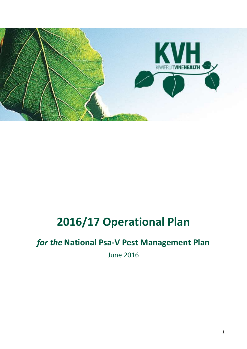

# **2016/17 Operational Plan**

## *for the* **National Psa-V Pest Management Plan**

June 2016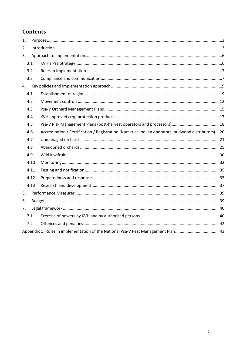## **Contents**

| 1. |      |  |                                                                                                     |  |
|----|------|--|-----------------------------------------------------------------------------------------------------|--|
| 2. |      |  |                                                                                                     |  |
| 3. |      |  |                                                                                                     |  |
|    | 3.1  |  |                                                                                                     |  |
|    | 3.2  |  |                                                                                                     |  |
|    | 3.3  |  |                                                                                                     |  |
|    | 4.   |  |                                                                                                     |  |
|    | 4.1  |  |                                                                                                     |  |
|    | 4.2  |  |                                                                                                     |  |
|    | 4.3  |  |                                                                                                     |  |
|    | 4.4  |  |                                                                                                     |  |
|    | 4.5  |  |                                                                                                     |  |
|    | 4.6  |  | Accreditation / Certification / Registration (Nurseries, pollen operators, budwood distributors) 20 |  |
|    | 4.7  |  |                                                                                                     |  |
|    | 4.8  |  |                                                                                                     |  |
|    | 4.9  |  |                                                                                                     |  |
|    | 4.10 |  |                                                                                                     |  |
|    | 4.11 |  |                                                                                                     |  |
|    | 4.12 |  |                                                                                                     |  |
|    | 4.13 |  |                                                                                                     |  |
| 5. |      |  |                                                                                                     |  |
| 6. |      |  |                                                                                                     |  |
| 7. |      |  |                                                                                                     |  |
|    | 7.1  |  |                                                                                                     |  |
|    | 7.2  |  |                                                                                                     |  |
|    |      |  | Appendix 1: Roles in implementation of the National Psa-V Pest Management Plan 43                   |  |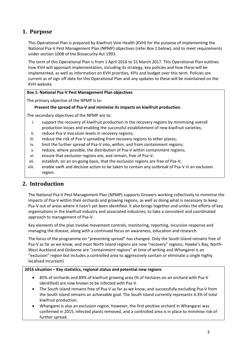## <span id="page-2-0"></span>**1. Purpose**

This Operational Plan is prepared by Kiwifruit Vine Health (KVH) for the purpose of implementing the National Psa-V Pest Management Plan (NPMP) objectives (refer Box 1 below), and to meet requirements under section 100B of the Biosecurity Act 1993.

The term of this Operational Plan is from 1 April 2016 to 31 March 2017. This Operational Plan outlines how KVH will approach implementation, including its strategy, key policies and how these will be implemented, as well as information on KVH priorities, KPIs and budget over this term. Policies are current as of sign off date for this Operational Plan and any updates to these will be maintained on the KVH website.

#### **Box 1: National Psa-V Pest Management Plan objectives**

The primary objective of the NPMP is to:

#### **Prevent the spread of Psa-V and minimise its impacts on kiwifruit production.**

The secondary objectives of the NPMP are to:

- i. support the recovery of kiwifruit production in the recovery regions by minimising overall production losses and enabling the successful establishment of new kiwifruit varieties;
- ii. reduce Psa-V inoculum levels in recovery regions;
- iii. reduce the risk of Psa-V spreading from recovery regions to other places;
- iv. limit the further spread of Psa-V into, within, and from containment regions;
- v. reduce, where possible, the distribution of Psa-V within containment regions;
- vi. ensure that exclusion regions are, and remain, free of Psa-V;
- vii. establish, on an on-going basis, that the exclusion regions are free of Psa-V;
- viii. enable swift and decisive action to be taken to contain any outbreak of Psa-V in an exclusion region.

## <span id="page-2-1"></span>**2. Introduction**

The National Psa-V Pest Management Plan (NPMP) supports Growers working collectively to minimise the impacts of Psa-V within their orchards and growing regions, as well as doing what is necessary to keep Psa-V out of areas where it hasn't yet been identified. It also brings together and unites the efforts of key organisations in the kiwifruit industry and associated industries, to take a consistent and coordinated approach to management of Psa-V.

Key elements of the plan involve movement controls, monitoring, reporting, incursion response and managing the disease, along with a continued focus on awareness, education and research.

The focus of the programme on "preventing spread" has changed. Only the South Island remains free of Psa-V as far as we know, and most North Island regions are now "recovery" regions; Hawke's Bay, North-West Auckland and Gisborne are "containment regions" at time of writing and Whangarei is an "exclusion" region but includes a controlled area to aggressively contain or eliminate a single highly localised incursion)

#### **2016 situation – Key statistics, regional status and potential new regions**

- 85% of orchards and 89% of kiwifruit growing area (% of hectares on an orchard with Psa-V identified) are now known to be infected with Psa-V.
- The South Island remains free of Psa-V as far as we know, and successfully excluding Psa-V from the South Island remains an achievable goal. The South Island currently represents 4.3% of total kiwifruit production.
- Whangarei is also an exclusion region, however, the first positive orchard in Whangarei was confirmed in 2015, infected plants removed, and a controlled area is in place to minimise risk of further spread.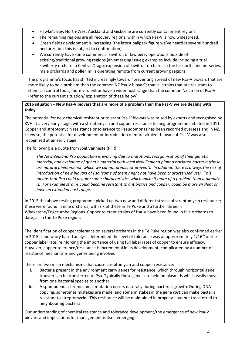- Hawke's Bay, North-West Auckland and Gisborne are currently containment regions.
- The remaining regions are all recovery regions, within which Psa-V is now widespread.
- Green fields development is increasing (the latest ballpark figure we've heard is several hundred hectares, but this is subject to confirmation).
- We currently have some commercial kiwifruit or kiwiberry operations outside of existing/traditional growing regions (an emerging issue); examples include including a trial kiwiberry orchard in Central Otago, expansion of kiwifruit orchards in the far north, and nurseries, male orchards and pollen mills operating remote from current growing regions.

The programme's focus has shifted increasingly toward "preventing spread of new Psa-V biovars that are more likely to be a problem than the common NZ Psa-V biovar"; that is, strains that are resistant to chemical control tools, more virulent or have a wider host range than the common NZ strain of Psa-V (refer to the current situation/ explanation of these below).

#### **2016 situation – New Psa-V biovars that are more of a problem than the Psa-V we are dealing with today**

The potential for new chemical resistant or tolerant Psa-V biovars was raised by experts and recognised by KVH at a very early stage, with a streptomycin and copper resistance testing programme initiated in 2011. Copper and streptomycin resistance or tolerance to Pseudomonas has been recorded overseas and in NZ. Likewise, the potential for development or introduction of more virulent biovars of Psa-V was also recognized at an early stage.

The following is a quote from Joel Vanneste (PFR);

*The New Zealand Psa population is evolving due to mutations, reorganisation of their genetic material, and exchange of genetic material with local New Zealand plant associated bacteria (those are natural phenomenon which we cannot predict or prevent). In addition there is always the risk of introduction of new biovars of Psa (some of them might not have been characterised yet). This means that Psa could acquire some characteristics which make it more of a problem than it already is. For example strains could become resistant to antibiotics and copper, could be more virulent or have an extended host range.*

In 2015 the above testing programme picked up two new and different strains of streptomycin resistance; these were found in nine orchards, with six of these in Te Puke and a further three in Whakatane/Edgecumbe Regions. Copper tolerant strains of Psa-V have been found in five orchards to date, all in the Te Puke region.

The identification of copper tolerance on several orchards in the Te Puke region was also confirmed earlier in 2015. Laboratory based analysis determined the level of tolerance was at approximately  $1/16^{th}$  of the copper label rate, reinforcing the importance of using full label rates of copper to ensure efficacy. However, copper tolerance/resistance is incremental in its development, complicated by a number of resistance mechanisms and genes being involved.

There are two main mechanisms that cause streptomycin and copper resistance:

- i. Bacteria present in the environment carry genes for resistance, which through horizontal gene transfer can be transferred to Psa. Typically these genes are held on plasmids which easily move from one bacterial species to another.
- ii. A spontaneous chromosomal mutation occurs naturally during bacterial growth. During DNA copying, sometimes mistakes are made, and some mistakes in the gene *rpsL* can make bacteria resistant to streptomycin. This resistance will be maintained in progeny - but not transferred to neighbouring bacteria.

Our understanding of chemical resistance and tolerance development/the emergence of new Psa-V biovars and implications for management is itself emerging.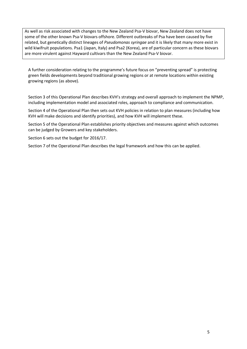As well as risk associated with changes to the New Zealand Psa-V biovar, New Zealand does not have some of the other known Psa-V biovars offshore. Different outbreaks of Psa have been caused by five related, but genetically distinct lineages of *Pseudomonas syringae* and it is likely that many more exist in wild kiwifruit populations. Psa1 (Japan, Italy) and Psa2 (Korea), are of particular concern as these biovars are more virulent against Hayward cultivars than the New Zealand Psa-V biovar.

A further consideration relating to the programme's future focus on "preventing spread" is protecting green fields developments beyond traditional growing regions or at remote locations within existing growing regions (as above).

Section 3 of this Operational Plan describes KVH's strategy and overall approach to implement the NPMP, including implementation model and associated roles, approach to compliance and communication.

Section 4 of the Operational Plan then sets out KVH policies in relation to plan measures (including how KVH will make decisions and identify priorities), and how KVH will implement these.

Section 5 of the Operational Plan establishes priority objectives and measures against which outcomes can be judged by Growers and key stakeholders.

Section 6 sets out the budget for 2016/17.

Section 7 of the Operational Plan describes the legal framework and how this can be applied.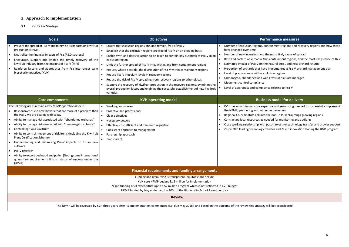## <span id="page-5-0"></span>**3. Approach to implementation**

<span id="page-5-1"></span>**3.1 KVH's Psa Strategy** 

## **Goals Objectives Performance measures**

containment regions and recovery regions and how these

- I the most likely cause of spread
- thin containment regions, and the most likely cause of this
- the natural crop, and nett orchard returns
- ave implemented a Psa-V orchard management plan
- exclusion regions
- wild kiwifruit risks are managed
- 
- iance relating to Psa-V

## **Ress model for delivery**

- kpertise and resourcing needed to successfully implement hers as necessary
- to the non Te Puke/Tauranga growing regions
- needed for monitoring and auditing
- h post-harvest for technology transfer and grower support  $\nu$  transfer and Zespri innovation leading the R&D program

the Nemer on Sider three dieses and the reconsidered synthetical contation contation contation contation conta

| <b>Goals</b>                                                                                                                                                                                                                                                                                                                                                                                                                                                                                                                                                                                                                                                                                                            | <b>Objectives</b>                                                                                                                                                                                                                                                                                                                                                                                                                                                                                                                                                                                                                                                                                                                                                           | Pe                                                                                                                                                                                                                                                                                                                                       |  |  |  |
|-------------------------------------------------------------------------------------------------------------------------------------------------------------------------------------------------------------------------------------------------------------------------------------------------------------------------------------------------------------------------------------------------------------------------------------------------------------------------------------------------------------------------------------------------------------------------------------------------------------------------------------------------------------------------------------------------------------------------|-----------------------------------------------------------------------------------------------------------------------------------------------------------------------------------------------------------------------------------------------------------------------------------------------------------------------------------------------------------------------------------------------------------------------------------------------------------------------------------------------------------------------------------------------------------------------------------------------------------------------------------------------------------------------------------------------------------------------------------------------------------------------------|------------------------------------------------------------------------------------------------------------------------------------------------------------------------------------------------------------------------------------------------------------------------------------------------------------------------------------------|--|--|--|
| Prevent the spread of Psa-V and minimise its impacts on kiwifruit  <br>production (NPMP)<br>Neutralise the financial impacts of Psa (R&D strategy)<br>$\bullet$<br>Encourage, support and enable the timely recovery of the<br>kiwifruit industry from the impacts of Psa-V (MPI)<br>Reinforce lessons and approaches from Psa into longer term<br>biosecurity practices (KVH)                                                                                                                                                                                                                                                                                                                                          | Ensure that exclusion regions are, and remain, free of Psa-V<br>Establish that the exclusion regions are free of Psa-V on an ongoing basis<br>Enable swift and decisive action to be taken to contain any outbreak of Psa-V in an<br>exclusion region<br>Limit the further spread of Psa-V into, within, and from containment regions<br>Reduce, where possible, the distribution of Psa-V within containment regions<br>Reduce Psa-V inoculum levels in recovery regions<br>$\bullet$<br>Reduce the risk of Psa-V spreading from recovery regions to other places<br>$\bullet$<br>Support the recovery of kiwifruit production in the recovery regions, by minimising<br>overall production losses and enabling the successful establishment of new kiwifruit<br>varieties | Number of exclusion regions, o<br>have changed over time<br>Number of new incursions and<br>Rate and pattern of spread wit<br>Estimated impact of Psa-V on t<br>Proportion of orchards that hav<br>Level of preparedness within e.<br>- 0<br>Unmanaged, abandoned and w<br>Movement control compliance<br>Level of awareness and compli- |  |  |  |
| <b>Core components</b>                                                                                                                                                                                                                                                                                                                                                                                                                                                                                                                                                                                                                                                                                                  | <b>KVH operating model</b>                                                                                                                                                                                                                                                                                                                                                                                                                                                                                                                                                                                                                                                                                                                                                  | <b>Busir</b>                                                                                                                                                                                                                                                                                                                             |  |  |  |
| The following areas remain a key NPMP operational focus:<br>Responsiveness to new biovars that are more of a problem than<br>the Psa-V we are dealing with today<br>Ability to manage risk associated with "abandoned orchards"<br>$\bullet$<br>Ability to manage risk associated with "unmanaged orchards"<br>Controlling "wild kiwifruit"<br>$\bullet$<br>Ability to control movement of risk items (including the Kiwifruit<br><b>Plant Certification Scheme)</b><br>Understanding and minimising Psa-V impacts on future new<br>cultivars<br>Psa-V research<br>$\bullet$<br>Ability to export budwood and pollen [Noting some international<br>quarantine requirements link to status of regions under the<br>NPMP] | Working for growers<br>Proactive and professional<br>Clear objectives<br>$\bullet$<br>Necessary powers<br>$\bullet$<br>Effective, cost efficient and minimum regulation<br>Consistent approach to management<br>Partnership approach<br>Transparent                                                                                                                                                                                                                                                                                                                                                                                                                                                                                                                         | KVH has only minimal core ex<br>the NPMP, partnering with oth<br>Regional Co-ordinators link into<br>Contracting local resources as a<br>Close working relationship with<br>Zespri OPC leading technology                                                                                                                                |  |  |  |
| <b>Financial requirements and funding arrangements</b><br>Funding and resourcing is transparent, equitable and secure<br>KVH core NPMP budget \$1.5 million for implementation<br>Zespri funding R&D expenditure up to a \$2 million program which is not reflected in KVH budget                                                                                                                                                                                                                                                                                                                                                                                                                                       |                                                                                                                                                                                                                                                                                                                                                                                                                                                                                                                                                                                                                                                                                                                                                                             |                                                                                                                                                                                                                                                                                                                                          |  |  |  |
|                                                                                                                                                                                                                                                                                                                                                                                                                                                                                                                                                                                                                                                                                                                         | NPMP funded by levy under section 100L of the Biosecurity Act, of 1 cent per tray<br><b>Review</b>                                                                                                                                                                                                                                                                                                                                                                                                                                                                                                                                                                                                                                                                          |                                                                                                                                                                                                                                                                                                                                          |  |  |  |
|                                                                                                                                                                                                                                                                                                                                                                                                                                                                                                                                                                                                                                                                                                                         | The NPMP will be reviewed by KVH three years after its implementation commenced (i.e. due May 2016), and based on the outcome of the review this strategy                                                                                                                                                                                                                                                                                                                                                                                                                                                                                                                                                                                                                   |                                                                                                                                                                                                                                                                                                                                          |  |  |  |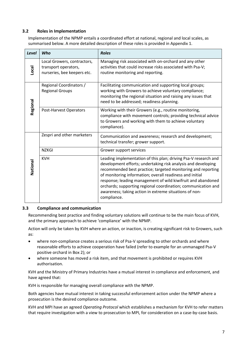#### <span id="page-6-0"></span>**3.2 Roles in Implementation**

Implementation of the NPMP entails a coordinated effort at national, regional and local scales, as summarised below. A more detailed description of these roles is provided in Appendix 1.

| Level                                                                                       | Who                                               | <b>Roles</b>                                                                                                                                                                                                                                                                                                                                                                                                                                                           |  |  |
|---------------------------------------------------------------------------------------------|---------------------------------------------------|------------------------------------------------------------------------------------------------------------------------------------------------------------------------------------------------------------------------------------------------------------------------------------------------------------------------------------------------------------------------------------------------------------------------------------------------------------------------|--|--|
| Local Growers, contractors,<br>transport operators,<br>Local<br>nurseries, bee keepers etc. |                                                   | Managing risk associated with on-orchard and any other<br>activities that could increase risks associated with Psa-V;<br>routine monitoring and reporting.                                                                                                                                                                                                                                                                                                             |  |  |
| Regional                                                                                    | Regional Coordinators /<br><b>Regional Groups</b> | Facilitating communication and supporting local groups;<br>working with Growers to achieve voluntary compliance;<br>monitoring the regional situation and raising any issues that<br>need to be addressed; readiness planning.                                                                                                                                                                                                                                         |  |  |
|                                                                                             | Post-Harvest Operators                            | Working with their Growers (e.g., routine monitoring,<br>compliance with movement controls; providing technical advice<br>to Growers and working with them to achieve voluntary<br>compliance).                                                                                                                                                                                                                                                                        |  |  |
|                                                                                             | Zespri and other marketers                        | Communication and awareness; research and development;<br>technical transfer; grower support.                                                                                                                                                                                                                                                                                                                                                                          |  |  |
|                                                                                             | <b>NZKGI</b>                                      | Grower support services                                                                                                                                                                                                                                                                                                                                                                                                                                                |  |  |
| National                                                                                    | <b>KVH</b>                                        | Leading implementation of this plan; driving Psa-V research and<br>development efforts; undertaking risk analysis and developing<br>recommended best practice; targeted monitoring and reporting<br>of monitoring information; overall readiness and initial<br>response; leading management of wild kiwifruit and abandoned<br>orchards; supporting regional coordination; communication and<br>awareness; taking action in extreme situations of non-<br>compliance. |  |  |

#### <span id="page-6-1"></span>**3.3 Compliance and communication**

Recommending best practice and finding voluntary solutions will continue to be the main focus of KVH, and the primary approach to achieve 'compliance' with the NPMP.

Action will only be taken by KVH where an action, or inaction, is creating significant risk to Growers, such as:

- where non-compliance creates a serious risk of Psa-V spreading to other orchards and where reasonable efforts to achieve cooperation have failed (refer to example for an unmanaged Psa-V positive orchard in Box 2); or
- where someone has moved a risk item, and that movement is prohibited or requires KVH authorisation.

KVH and the Ministry of Primary Industries have a mutual interest in compliance and enforcement, and have agreed that:

KVH is responsible for managing overall compliance with the NPMP.

Both agencies have mutual interest in taking successful enforcement action under the NPMP where a prosecution is the desired compliance outcome.

KVH and MPI have an agreed *Operating Protocol* which establishes a mechanism for KVH to refer matters that require investigation with a view to prosecution to MPI, for consideration on a case-by-case basis.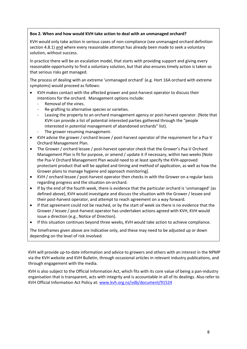#### **Box 2. When and how would KVH take action to deal with an unmanaged orchard?**

KVH would only take action in serious cases of non-compliance (see unmanaged orchard definition section 4.8.1) and where every reasonable attempt has already been made to seek a voluntary solution, without success.

In practice there will be an escalation model, that starts with providing support and giving every reasonable opportunity to find a voluntary solution, but that also ensures timely action is taken so that serious risks get managed.

The process of dealing with an extreme 'unmanaged orchard' (e.g. Hort 16A orchard with extreme symptoms) would proceed as follows:

- KVH makes contact with the affected grower and post-harvest operator to discuss their intentions for the orchard. Management options include:
	- Removal of the vines.
	- Re-grafting to alternative species or varieties.
	- Leasing the property to an orchard management agency or post-harvest operator. (Note that KVH can provide a list of potential interested parties gathered through the "people interested in potential management of abandoned orchards" list).
	- The grower resuming management.
- KVH advise the grower / orchard lessee / post-harvest operator of the requirement for a Psa-V Orchard Management Plan.
- The Grower / orchard lessee / post-harvest operator check that the Grower's Psa-V Orchard Management Plan is fit for purpose, or amend / update it if necessary, within two weeks [Note the Psa-V Orchard Management Plan would need to at least specify the KVH-approved protectant product that will be applied and timing and method of application, as well as how the Grower plans to manage hygiene and approach monitoring].
- KVH / orchard lessee / post-harvest operator then checks in with the Grower on a regular basis regarding progress and the situation on-orchard.
- If by the end of the fourth week, there is evidence that the particular orchard is 'unmanaged' (as defined above), KVH would investigate and discuss the situation with the Grower / lessee and their post-harvest operator, and attempt to reach agreement on a way forward.
- If that agreement could not be reached, or by the start of week six there is no evidence that the Grower / lessee / post-harvest operator has undertaken actions agreed with KVH, KVH would issue a direction (e.g., Notice of Direction).
- If this situation continues beyond three weeks, KVH would take action to achieve compliance.

The timeframes given above are indicative only, and these may need to be adjusted up or down depending on the level of risk involved.

KVH will provide up-to-date information and advice to growers and others with an interest in the NPMP via the KVH website and KVH Bulletin, through occasional articles in relevant industry publications, and through engagement with the media.

KVH is also subject to the Official Information Act, which fits with its core value of being a pan-industry organisation that is transparent, acts with integrity and is accountable in all of its dealings. Also refer to KVH Official Information Act Policy at: [www.kvh.org.nz/vdb/document/91524](http://www.kvh.org.nz/vdb/document/91524)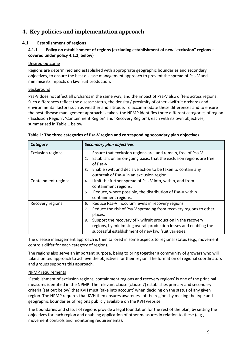## <span id="page-8-0"></span>**4. Key policies and implementation approach**

#### <span id="page-8-1"></span>**4.1 Establishment of regions**

#### **4.1.1 Policy on establishment of regions (excluding establishment of new "exclusion" regions – covered under policy 4.1.2, below)**

#### Desired outcome

Regions are determined and established with appropriate geographic boundaries and secondary objectives, to ensure the best disease management approach to prevent the spread of Psa-V and minimise its impacts on kiwifruit production.

#### Background

Psa-V does not affect all orchards in the same way, and the impact of Psa-V also differs across regions. Such differences reflect the disease status, the density / proximity of other kiwifruit orchards and environmental factors such as weather and altitude. To accommodate these differences and to ensure the best disease management approach is taken*,* the NPMP identifies three different categories of region ('Exclusion Region', 'Containment Region' and 'Recovery Region'), each with its own objectives, summarised in Table 1 below:

| Category                 | Secondary plan objectives                                                               |  |  |
|--------------------------|-----------------------------------------------------------------------------------------|--|--|
| <b>Exclusion regions</b> | Ensure that exclusion regions are, and remain, free of Psa-V.<br>1.                     |  |  |
|                          | Establish, on an on-going basis, that the exclusion regions are free<br>2.<br>of Psa-V. |  |  |
|                          | Enable swift and decisive action to be taken to contain any<br>3.                       |  |  |
|                          | outbreak of Psa-V in an exclusion region.                                               |  |  |
| Containment regions      | Limit the further spread of Psa-V into, within, and from<br>4.                          |  |  |
|                          | containment regions.                                                                    |  |  |
|                          | Reduce, where possible, the distribution of Psa-V within<br>5.                          |  |  |
|                          | containment regions.                                                                    |  |  |
| Recovery regions         | Reduce Psa-V inoculum levels in recovery regions.<br>6.                                 |  |  |
|                          | Reduce the risk of Psa-V spreading from recovery regions to other<br>7.                 |  |  |
|                          | places.                                                                                 |  |  |
|                          | Support the recovery of kiwifruit production in the recovery<br>8.                      |  |  |
|                          | regions, by minimising overall production losses and enabling the                       |  |  |
|                          | successful establishment of new kiwifruit varieties.                                    |  |  |

| Table 1: The three categories of Psa-V region and corresponding secondary plan objectives |  |  |  |
|-------------------------------------------------------------------------------------------|--|--|--|
|                                                                                           |  |  |  |

The disease management approach is then tailored in some aspects to regional status (e.g., movement controls differ for each category of region).

The regions also serve an important purpose, being to bring together a community of growers who will take a united approach to achieve the objectives for their region. The formation of regional coordinators and groups supports this approach.

#### NPMP requirements

'Establishment of exclusion regions, containment regions and recovery regions' is one of the principal measures identified in the NPMP. The relevant clause (clause 7) establishes primary and secondary criteria (set out below) that KVH must 'take into account' when deciding on the status of any given region. The NPMP requires that KVH then ensures awareness of the regions by making the type and geographic boundaries of regions publicly available on the KVH website.

The boundaries and status of regions provide a legal foundation for the rest of the plan, by setting the objectives for each region and enabling application of other measures in relation to these (e.g., movement controls and monitoring requirements).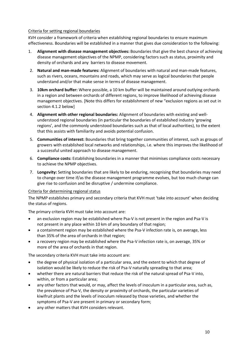#### Criteria for setting regional boundaries

KVH consider a framework of criteria when establishing regional boundaries to ensure maximum effectiveness. Boundaries will be established in a manner that gives due consideration to the following:

- 1. **Alignment with disease management objectives:** Boundaries that give the best chance of achieving disease management objectives of the NPMP, considering factors such as status, proximity and density of orchards and any barriers to disease movement.
- 2. **Natural and man-made features:** Alignment of boundaries with natural and man-made features, such as rivers, oceans, mountains and roads, which may serve as logical boundaries that people understand and/or that make sense in terms of disease management.
- 3. **10km orchard buffer:** Where possible, a 10 km buffer will be maintained around outlying orchards in a region and between orchards of different regions, to improve likelihood of achieving disease management objectives. [Note this differs for establishment of new "exclusion regions as set out in section 4.1.2 below]
- 4. **Alignment with other regional boundaries:** Alignment of boundaries with existing and wellunderstood regional boundaries (in particular the boundaries of established industry 'growing regions', and the commonly understood boundaries such as that of local authorities), to the extent that this assists with familiarity and avoids potential confusion.
- 5. **Communities of interest:** Boundaries that bring together communities of interest, such as groups of growers with established local networks and relationships, i.e. where this improves the likelihood of a successful united approach to disease management.
- 6. **Compliance costs:** Establishing boundaries in a manner that minimises compliance costs necessary to achieve the NPMP objectives.
- 7. **Longevity:** Setting boundaries that are likely to be enduring, recognising that boundaries may need to change over time if/as the disease management programme evolves, but too much change can give rise to confusion and be disruptive / undermine compliance.

#### Criteria for determining regional status

The NPMP establishes primary and secondary criteria that KVH must 'take into account' when deciding the status of regions.

The primary criteria KVH must take into account are:

- an exclusion region may be established where Psa-V is not present in the region and Psa-V is not present in any place within 10 km of any boundary of that region;
- a containment region may be established where the Psa-V infection rate is, on average, less than 35% of the area of orchards in that region;
- a recovery region may be established where the Psa-V infection rate is, on average, 35% or more of the area of orchards in that region.

The secondary criteria KVH must take into account are:

- the degree of physical isolation of a particular area, and the extent to which that degree of isolation would be likely to reduce the risk of Psa-V naturally spreading to that area;
- whether there are natural barriers that reduce the risk of the natural spread of Psa-V into, within, or from a particular area;
- any other factors that would, or may, affect the levels of inoculum in a particular area, such as, the prevalence of Psa-V, the density or proximity of orchards, the particular varieties of kiwifruit plants and the levels of inoculum released by those varieties, and whether the symptoms of Psa-V are present in primary or secondary form;
- any other matters that KVH considers relevant.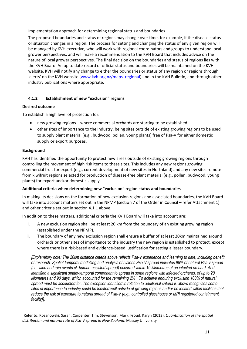#### Implementation approach for determining regional status and boundaries

The proposed boundaries and status of regions may change over time, for example, if the disease status or situation changes in a region. The process for setting and changing the status of any given region will be managed by KVH executive, who will work with regional coordinators and groups to understand local grower perspectives, and will make a recommendation to the KVH Board that includes advice on the nature of local grower perspectives. The final decision on the boundaries and status of regions lies with the KVH Board. An up to date record of official status and boundaries will be maintained on the KVH website. KVH will notify any change to either the boundaries or status of any region or regions through 'alerts' on the KVH website ([www.kvh.org.nz/maps\\_regional\)](file://///kvhsbs/kvh$/company%20data/NPMP/Operational%20plan/www.kvh.org.nz/maps_regional) and in the KVH Bulletin, and through other industry publications where appropriate.

### **4.1.2 Establishment of new "exclusion" regions**

#### **Desired outcome**

To establish a high level of protection for:

- new growing regions where commercial orchards are starting to be established
- other sites of importance to the industry, being sites outside of existing growing regions to be used to supply plant material (e.g., budwood, pollen, young plants) free of Psa-V for either domestic supply or export purposes.

#### **Background**

 $\overline{a}$ 

KVH has identified the opportunity to protect new areas outside of existing growing regions through controlling the movement of high risk items to these sites. This includes any new regions growing commercial fruit for export (e.g., current development of new sites in Northland) and any new sites remote from kiwifruit regions selected for production of disease-free plant material (e.g., pollen, budwood, young plants) for export and/or domestic supply.

#### **Additional criteria when determining new "exclusion" region status and boundaries**

In making its decisions on the formation of new exclusion regions and associated boundaries, the KVH Board will take into account matters set out in the NPMP (section 7 of the Order in Council – refer Attachment 1) and other criteria set out in section 4.1.1 above.

In addition to these matters, additional criteria the KVH Board will take into account are:

- i. A new exclusion region shall be at least 20 km from the boundary of an existing growing region (established under the NPMP).
- ii. The boundary of any new exclusion region shall ensure a buffer of at least 20km maintained around orchards or other sites of importance to the industry the new region is established to protect, except where there is a risk-based and evidence-based justification for setting a lesser boundary.

*[Explanatory note: The 20km distance criteria above reflects Psa-V experience and learning to date, including benefit of research. Spatial-temporal modelling and analysis of historic Psa-V spread indicates 98% of natural Psa-v spread (i.e. wind and rain events cf. human-assisted spread) occurred within 10 kilometres of an infected orchard. And identified a significant spatio-temporal component to spread in some regions with infected orchards, of up to 20 kilometres and 90 days, which accounted for the remaining 2%<sup>1</sup> . To achieve enduring exclusion 100% of natural spread must be accounted for. The exception identified in relation to additional criteria ii. above recognises some sites of importance to industry could be located well outside of growing regions and/or be located within facilities that reduce the risk of exposure to natural spread of Psa-V (e.g., controlled glasshouse or MPI registered containment facility)].* 

<sup>1</sup>Refer to: Rosanowski, Sarah; Carpenter, Tim; Stevenson, Mark; Froud, Karyn (2013). *Quantification of the spatial distribution and natural rate of Psa-V spread in New Zealand*. Massey University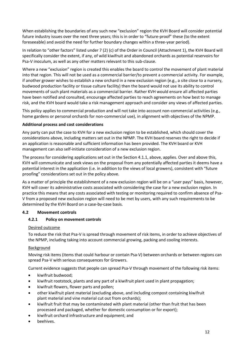When establishing the boundaries of any such new "exclusion" region the KVH Board will consider potential future industry issues over the next three years; this is in order to "future-proof" these (to the extent foreseeable) and avoid the need for further boundary changes within a three-year period).

In relation to "other factors" listed under 7 (2) (c) of the Order in Council (Attachment 1), the KVH Board will specifically consider the extent, if any, of wild kiwifruit and abandoned orchards as potential reservoirs for Psa-V inoculum, as well as any other matters relevant to this sub-clause.

Where a new "exclusion" region is created this enables the board to control the movement of plant material into that region. This will not be used as a commercial barrier/to prevent a commercial activity. For example, if another grower wishes to establish a new orchard in a new exclusion region (e.g., a site close to a nursery, budwood production facility or tissue culture facility) then the board would not use its ability to control movements of such plant materials as a commercial barrier. Rather KVH would ensure all affected parties have been notified and consulted, encourage affected parties to reach agreements on how best to manage risk, and the KVH board would take a risk management approach and consider any views of affected parties.

This policy applies to commercial production and will not take into account non-commercial activities (e.g., home gardens or personal orchards for non-commercial use), in alignment with objectives of the NPMP.

#### **Additional process and cost considerations**

Any party can put the case to KVH for a new exclusion region to be established, which should cover the considerations above, including matters set out in the NPMP. The KVH board reserves the right to decide if an application is reasonable and sufficient information has been provided. The KVH board or KVH management can also self-initiate consideration of a new exclusion region.

The process for considering applications set out in the Section 4.1.1, above, applies. Over and above this, KVH will communicate and seek views on the proposal from any potentially affected parties it deems have a potential interest in the application (i.e. in addition to the views of local growers), consistent with "future proofing" considerations set out in the policy above.

As a matter of principle the establishment of a new exclusion region will be on a "user pays" basis, however, KVH will cover its administrative costs associated with considering the case for a new exclusion region. In practice this means that any costs associated with testing or monitoring required to confirm absence of Psa-V from a proposed new exclusion region will need to be met by users, with any such requirements to be determined by the KVH Board on a case-by-case basis.

#### <span id="page-11-0"></span>**4.2 Movement controls**

#### **4.2.1 Policy on movement controls**

#### Desired outcome

To reduce the risk that Psa-V is spread through movement of risk items, in order to achieve objectives of the NPMP, including taking into account commercial growing, packing and cooling interests.

#### Background

Moving risk items (items that could harbour or contain Psa-V) between orchards or between regions can spread Psa-V with serious consequences for Growers.

Current evidence suggests that people can spread Psa-V through movement of the following risk items:

- kiwifruit budwood;
- kiwifruit rootstock, plants and any part of a kiwifruit plant used in plant propagation;
- kiwifruit flowers, flower parts and pollen;
- other kiwifruit plant material (excluding above, and including compost containing kiwifruit plant material and vine material cut out from orchards);
- kiwifruit fruit that may be contaminated with plant material (other than fruit that has been processed and packaged, whether for domestic consumption or for export);
- kiwifruit orchard infrastructure and equipment; and
- beehives.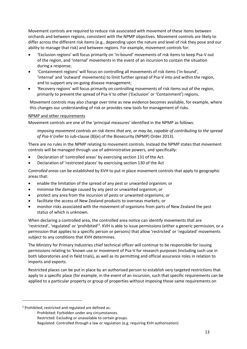Movement controls are required to reduce risk associated with movement of these items between orchards and between regions, consistent with the NPMP objectives. Movement controls are likely to differ across the different risk items (e.g., depending upon the nature and level of risk they pose and our ability to manage that risk) and between regions. For example, movement controls for:

- 'Exclusion regions' will focus primarily on 'in-bound' movements of risk items to keep Psa-V out of the region, and 'internal' movements in the event of an incursion to contain the situation during a response;
- 'Containment regions' will focus on controlling all movements of risk items ('in-bound', 'internal' and 'outward' movements) to limit further spread of Psa-V into and within the region, and to support any on-going disease management;
- 'Recovery regions' will focus primarily on controlling movements of risk items out of the region, primarily to prevent the spread of Psa-V to other ('Exclusion' or 'Containment') regions.

Movement controls may also change over time as new evidence becomes available, for example, where this changes our understanding of risk or provides new tools for management of risks.

#### NPMP and other requirements

Movement controls are one of the 'principal measures' identified in the NPMP as follows:

*imposing movement controls on risk items that are, or may be, capable of contributing to the spread of Psa-V* (refer to sub-clause (8)(e) of the Biosecurity (NPMP) Order 2013).

There are no rules in the NPMP relating to movement controls. Instead the NPMP states that movement controls will be managed through use of administrative powers, and specifically:

- Declaration of 'controlled areas' by exercising section 131 of the Act.
- Declaration of 'restricted places' by exercising section 130 of the Act

*Controlled areas* can be established by KVH to put in place movement controls that apply to geographic areas that:

- enable the limitation of the spread of any pest or unwanted organism; or
- minimise the damage caused by any pest or unwanted organism; or
- protect any area from the incursion of pests or unwanted organisms; or
- facilitate the access of New Zealand products to overseas markets; or
- monitor risks associated with the movement of organisms from parts of New Zealand the pest status of which is unknown.

When declaring a controlled area, the controlled area notice can identify movements that are 'restricted', 'regulated' or 'prohibited'<sup>2</sup>. KVH is able to issue permissions (either a generic permission, or a permission that applies to a specific person or persons) that allow 'restricted' or 'regulated' movements subject to any conditions that KVH determines.

The Ministry for Primary Industries chief technical officer will continue to be responsible for issuing permissions relating to 'known use or movement of Psa-V for research purposes (including such use in both laboratories and in field trials), as well as its permitting and official assurance roles in relation to imports and exports.

Restricted places can be put in place by an authorised person to establish very targeted restrictions that apply to a specific place (for example, in the event of an incursion, such that specific requirements can be applied to a particular property or group of properties without imposing those same requirements on

 $\overline{a}$ 

<sup>2</sup> Prohibited, restricted and regulated are defined as:

Prohibited: Forbidden under any circumstances. Restricted: Excluding or unavailable to certain groups. Regulated: Controlled through a law or regulation (e.g. requiring KVH authorisation)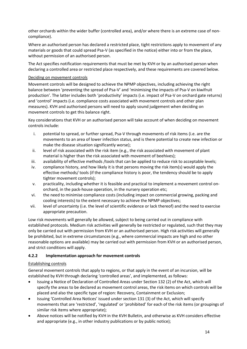other orchards within the wider buffer (controlled area), and/or where there is an extreme case of noncompliance).

Where an authorised person has declared a restricted place, tight restrictions apply to movement of any materials or goods that could spread Psa-V (as specified in the notice) either into or from the place, without permission of an authorised person.

The Act specifies notification requirements that must be met by KVH or by an authorised person when declaring a controlled area or restricted place respectively, and these requirements are covered below.

#### Deciding on movement controls

Movement controls will be designed to achieve the NPMP objectives, including achieving the right balance between 'preventing the spread of Psa-V' and 'minimising the impacts of Psa-V on kiwifruit production'. The latter includes both 'productivity' impacts (i.e. impact of Psa-V on orchard gate returns) and 'control' impacts (i.e. compliance costs associated with movement controls and other plan measures). KVH and authorised persons will need to apply sound judgement when deciding on movement controls to get this balance right.

Key considerations that KVH or an authorised person will take account of when deciding on movement controls include:

- i. potential to spread, or further spread, Psa-V through movements of risk items (i.e. are the movements to an area of lower infection status, and is there potential to create new infection or make the disease situation significantly worse);
- ii. level of risk associated with the risk item (e.g., the risk associated with movement of plant material is higher than the risk associated with movement of beehives);
- iii. availability of effective methods /tools that can be applied to reduce risk to acceptable levels;
- iv. compliance history, and how likely it is that persons moving the risk item(s) would apply the effective methods/ tools (if the compliance history is poor, the tendency should be to apply tighter movement controls);
- v. practicality, including whether it is feasible and practical to implement a movement control onorchard, in the pack-house operation, in the nursery operation etc;
- vi. the need to minimise compliance costs (including impact on commercial growing, packing and cooling interests) to the extent necessary to achieve the NPMP objectives;
- vii. level of uncertainty (i.e. the level of scientific evidence or lack thereof) and the need to exercise appropriate precaution.

Low risk movements will generally be allowed, subject to being carried out in compliance with established protocols. Medium risk activities will generally be restricted or regulated, such that they may only be carried out with permission from KVH or an authorised person. High risk activities will generally be prohibited, but in extreme circumstances (e.g., where commercial impacts are high and no other reasonable options are available) may be carried out with permission from KVH or an authorised person, and strict conditions will apply.

#### **4.2.2 Implementation approach for movement controls**

#### Establishing controls

General movement controls that apply to regions, or that apply in the event of an incursion, will be established by KVH through declaring 'controlled areas', and implemented, as follows:

- Issuing a Notice of Declaration of Controlled Areas under Section 132 (2) of the Act, which will specify the areas to be declared as movement control areas, the risk items on which controls will be placed and also the specific type of region: Recovery, Containment or Exclusion;
- Issuing 'Controlled Area Notices' issued under section 131 (3) of the Act, which will specify movements that are 'restricted', 'regulated' or 'prohibited' for each of the risk items (or groupings of similar risk items where appropriate);
- Above notices will be notified by KVH in the KVH Bulletin, and otherwise as KVH considers effective and appropriate (e.g., in other industry publications or by public notice);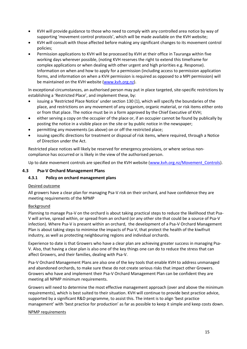- KVH will provide guidance to those who need to comply with any controlled area notice by way of supporting 'movement control protocols', which will be made available on the KVH website;
- KVH will consult with those affected before making any significant changes to its movement control policies;
- Permission applications to KVH will be processed by KVH at their office in Tauranga within five working days wherever possible, (noting KVH reserves the right to extend this timeframe for complex applications or when dealing with other urgent and high priorities e.g. Response). Information on when and how to apply for a permission (including access to permission application forms, and information on when a KVH permission is required as opposed to a MPI permission) will be maintained on the KVH website [\(www.kvh.org.nz\)](http://www.kvh.org.nz/).

In exceptional circumstances, an authorised person may put in place targeted, site-specific restrictions by establishing a 'Restricted Place', and implement these, by:

- issuing a 'Restricted Place Notice' under section 130 (1), which will specify the boundaries of the place, and restrictions on any movement of any organism, organic material, or risk items either onto or from that place. The notice must be in a form approved by the Chief Executive of KVH;
- either serving a copy on the occupier of the place or, if an occupier cannot be found by publically by posting the notice in a visible place on the site or by public notice in the newspaper;
- permitting any movements (as above) on or off the restricted place;
- issuing specific directions for treatment or disposal of risk items, where required, through a Notice of Direction under the Act.

Restricted place notices will likely be reserved for emergency provisions, or where serious noncompliance has occurred or is likely in the view of the authorised person.

Up to date movement controls are specified on the KVH website (www.kvh.org.nz/Movement Controls).

#### <span id="page-14-0"></span>**4.3 Psa-V Orchard Management Plans**

#### **4.3.1 Policy on orchard management plans**

#### Desired outcome

All growers have a clear plan for managing Psa-V risk on their orchard, and have confidence they are meeting requirements of the NPMP

#### Background

Planning to manage Psa-V on the orchard is about taking practical steps to reduce the likelihood that Psa-V will arrive, spread within, or spread from an orchard (or any other site that could be a source of Psa-V infection). Where Psa-V is present within an orchard, the development of a Psa-V Orchard Management Plan is about taking steps to minimise the impacts of Psa-V, that protect the health of the kiwifruit industry, as well as protecting neighbouring regions and individual orchards.

Experience to date is that Growers who have a clear plan are achieving greater success in managing Psa-V. Also, that having a clear plan is also one of the key things one can do to reduce the stress that can affect Growers, and their families, dealing with Psa-V.

Psa-V Orchard Management Plans are also one of the key tools that enable KVH to address unmanaged and abandoned orchards, to make sure these do not create serious risks that impact other Growers. Growers who have and implement their Psa-V Orchard Management Plan can be confident they are meeting all NPMP minimum requirements.

Growers will need to determine the most effective management approach (over and above the minimum requirements), which is best suited to their situation. KVH will continue to provide best practice advice, supported by a significant R&D programme, to assist this. The intent is to align 'best practice management' with 'best practice for production' as far as possible to keep it simple and keep costs down.

#### NPMP requirements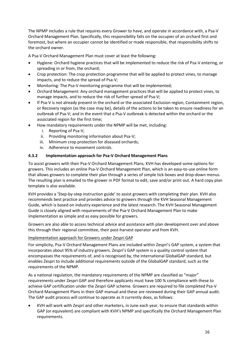The NPMP includes a rule that requires every Grower to have, and operate in accordance with, a Psa-V Orchard Management Plan. Specifically, this responsibility falls on the occupier of an orchard first and foremost, but where an occupier cannot be identified or made responsible, that responsibility shifts to the orchard owner.

A Psa-V Orchard Management Plan must cover at least the following:

- Hygiene: Orchard hygiene practices that will be implemented to reduce the risk of Psa-V entering, or spreading in or from, the orchard;
- Crop protection: The crop protection programme that will be applied to protect vines, to manage impacts, and to reduce the spread of Psa-V;
- Monitoring: The Psa-V monitoring programme that will be implemented;
- Orchard Management: Any orchard management practices that will be applied to protect vines, to manage impacts, and to reduce the risk of further spread of Psa-V;
- If Psa-V is not already present in the orchard or the associated Exclusion region, Containment region, or Recovery region (as the case may be), details of the actions to be taken to ensure readiness for an outbreak of Psa-V; and in the event that a Psa-V outbreak is detected within the orchard or the associated region for the first time;
- How mandatory requirements under the NPMP will be met, including:
	- i. Reporting of Psa-V;
	- ii. Providing monitoring information about Psa-V;
	- iii. Minimum crop protection for diseased orchards;
	- iv. Adherence to movement controls.

#### **4.3.2 Implementation approach for Psa-V Orchard Management Plans**

To assist growers with their Psa-V Orchard Management Plans, KVH has developed some options for growers. This includes an online Psa-V Orchard Management Plan, which is an easy-to-use online form that allows growers to complete their plan through a series of simple tick-boxes and drop-down menus. The resulting plan is emailed to the grower in PDF format to edit, save and/or print out. A hard copy plan template is also available.

KVH provides a 'Step-by-step instruction guide' to assist growers with completing their plan. KVH also recommends best practice and provides advice to growers through the KVH Seasonal Management Guide, which is based on industry experience and the latest research. The KVH Seasonal Management Guide is closely aligned with requirements of the Psa-V Orchard Management Plan to make implementation as simple and as easy possible for growers.

Growers are also able to access technical advice and assistance with plan development over and above this through their regional committee, their post-harvest operator and from KVH.

#### Implementation approach for Growers under Zespri GAP

For simplicity, Psa-V Orchard Management Plans are included within Zespri's GAP system, a system that incorporates about 95% of industry growers. Zespri's GAP system is a quality control system that encompasses the requirements of, and is recognised by, the international GlobalGAP standard, but enables Zespri to include additional requirements outside of the GlobalGAP standard, such as the requirements of the NPMP.

As a national regulation, the mandatory requirements of the NPMP are classified as "major" requirements under Zespri GAP and therefore applicants must have 100 % compliance with these to achieve GAP certification under the Zespri GAP scheme. Growers are required to file completed Psa-V Orchard Management Plans in their GAP manual and these are reviewed during their GAP annual audit. The GAP audit process will continue to operate as it currently does, as follows:

 KVH will work with Zespri and other marketers, in June each year, to ensure that standards within GAP (or equivalent) are compliant with KVH's NPMP and specifically the Orchard Management Plan requirements.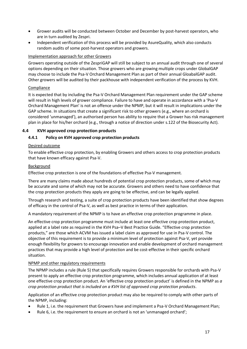- Grower audits will be conducted between October and December by post-harvest operators, who are in turn audited by Zespri.
- Independent verification of this process will be provided by AsureQuality, which also conducts random audits of some post-harvest operators and growers.

#### Implementation approach for other Growers

Growers operating outside of the ZespriGAP will still be subject to an annual audit through one of several options depending on their situation. Those growers who are growing multiple crops under GlobalGAP may choose to include the Psa-V Orchard Management Plan as part of their annual GloabalGAP audit. Other growers will be audited by their packhouse with independent verification of the process by KVH.

#### Compliance

It is expected that by including the Psa-V Orchard Management Plan requirement under the GAP scheme will result in high levels of grower compliance. Failure to have and operate in accordance with a 'Psa-V Orchard Management Plan' is not an offence under the NPMP, but it will result in implications under the GAP scheme. In situations that create a significant risk to other growers (e.g., where an orchard is considered 'unmanaged'), an authorised person has ability to require that a Grower has risk management plan in place for his/her orchard (e.g., through a notice of direction under s.122 of the Biosecurity Act).

#### <span id="page-16-0"></span>**4.4 KVH approved crop protection products**

#### **4.4.1 Policy on KVH approved crop protection products**

#### Desired outcome

To enable effective crop protection, by enabling Growers and others access to crop protection products that have known efficacy against Psa-V.

#### Background

Effective crop protection is one of the foundations of effective Psa-V management.

There are many claims made about hundreds of potential crop protection products, some of which may be accurate and some of which may not be accurate. Growers and others need to have confidence that the crop protection products they apply are going to be effective, and can be legally applied.

Through research and testing, a suite of crop protection products have been identified that show degrees of efficacy in the control of Psa-V, as well as best practice in terms of their application.

A mandatory requirement of the NPMP is to have an effective crop protection programme in place.

An effective crop protection programme must include at least one effective crop protection product, applied at a label rate as required in the KVH Psa–V Best Practice Guide. "Effective crop protection products," are those which ACVM has issued a label claim as approved for use in Psa-V control. The objective of this requirement is to provide a minimum level of protection against Psa-V, yet provide enough flexibility for growers to encourage innovation and enable development of orchard management practices that may provide a high level of protection and be cost-effective in their specific orchard situation.

#### NPMP and other regulatory requirements

The NPMP includes a rule (Rule 5) that specifically requires Growers responsible for orchards with Psa-V present to apply an effective crop protection programme, which includes annual application of at least one effective crop protection product. An 'effective crop protection product' is defined in the NPMP as *a crop protection product that is included on a KVH list of approved crop protection products*.

Application of an effective crop protection product may also be required to comply with other parts of the NPMP, including:

- Rule 1, i.e. the requirement that Growers have and implement a Psa-V Orchard Management Plan;
- Rule 6, i.e. the requirement to ensure an orchard is not an 'unmanaged orchard';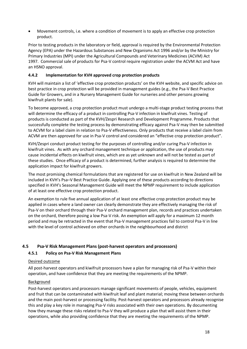Movement controls, i.e. where a condition of movement is to apply an effective crop protection product.

Prior to testing products in the laboratory or field, approval is required by the Environmental Protection Agency (EPA) under the Hazardous Substances and New Organisms Act 1996 and/or by the Ministry for Primary Industries (MPI) under the Agricultural Compounds and Veterinary Medicines (ACVM) Act 1997. Commercial sale of products for Psa-V control require registration under the ACVM Act and have an HSNO approval.

#### **4.4.2 Implementation for KVH approved crop protection products**

KVH will maintain a list of 'effective crop protection products' on the KVH website, and specific advice on best practice in crop protection will be provided in management guides (e.g., the Psa-V Best Practice Guide for Growers, and in a Nursery Management Guide for nurseries and other persons growing kiwifruit plants for sale).

To become approved, a crop protection product must undergo a multi-stage product testing process that will determine the efficacy of a product in controlling Psa-V infection in kiwifruit vines. Testing of products is conducted as part of the KVH/Zespri Research and Development Programme. Products that successfully complete the testing process by demonstrating efficacy against Psa-V may then be submitted to ACVM for a label claim in relation to Psa-V effectiveness. Only products that receive a label claim from ACVM are then approved for use in Psa-V control and considered an "effective crop protection product".

KVH/Zespri conduct product testing for the purposes of controlling and/or curing Psa-V infection in kiwifruit vines. As with any orchard management technique or application, the use of products may cause incidental effects on kiwifruit vines, which are as yet unknown and will not be tested as part of these studies. Once efficacy of a product is determined, further analysis is required to determine the application impact for kiwifruit growers.

The most promising chemical formulations that are registered for use on kiwifruit in New Zealand will be included in KVH's Psa–V Best Practice Guide. Applying one of these products according to directions specified in KVH's Seasonal Management Guide will meet the NPMP requirement to include application of at least one effective crop protection product.

An exemption to rule five annual application of at least one effective crop protection product may be applied in cases where a land owner can clearly demonstrate they are effectively managing the risk of Psa-V on their orchard through their Psa-V orchard management plan, records and practices undertaken on the orchard, therefore posing a low Psa-V risk. An exemption will apply for a maximum 12 month period and may be retracted in the event that Psa-V management practices fail to control Psa-V in line with the level of control achieved on other orchards in the neighbourhood and district

#### <span id="page-17-0"></span>**4.5 Psa-V Risk Management Plans (post-harvest operators and processors)**

#### **4.5.1 Policy on Psa-V Risk Management Plans**

#### Desired outcome

All post-harvest operators and kiwifruit processors have a plan for managing risk of Psa-V within their operation, and have confidence that they are meeting the requirements of the NPMP.

#### **Background**

Post-harvest operators and processors manage significant movements of people, vehicles, equipment and fruit that can be contaminated with kiwifruit leaf and plant material; moving these between orchards and the main post-harvest or processing facility. Post-harvest operators and processors already recognise this and play a key role in managing Psa-V risks associated with their own operations. By documenting how they manage these risks related to Psa-V they will produce a plan that will assist them in their operations, while also providing confidence that they are meeting the requirements of the NPMP.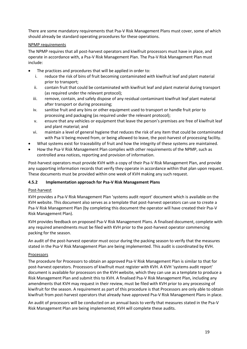There are some mandatory requirements that Psa-V Risk Management Plans must cover, some of which should already be standard operating procedures for these operations.

#### NPMP requirements

The NPMP requires that all post-harvest operators and kiwifruit processors must have in place, and operate in accordance with, a Psa-V Risk Management Plan. The Psa-V Risk Management Plan must include:

- The practices and procedures that will be applied in order to:
	- i. reduce the risk of bins of fruit becoming contaminated with kiwifruit leaf and plant material prior to transport;
	- ii. contain fruit that could be contaminated with kiwifruit leaf and plant material during transport (as required under the relevant protocol);
	- iii. remove, contain, and safely dispose of any residual contaminant kiwifruit leaf plant material after transport or during processing;
	- iv. sanitise fruit and any bins or other equipment used to transport or handle fruit prior to processing and packaging (as required under the relevant protocol);
	- v. ensure that any vehicles or equipment that leave the person's premises are free of kiwifruit leaf and plant material; and
	- vi. maintain a level of general hygiene that reduces the risk of any item that could be contaminated with Psa-V being moved from, or being allowed to leave, the post-harvest of processing facility.
- What systems exist for traceability of fruit and how the integrity of these systems are maintained.
- How the Psa-V Risk Management Plan complies with other requirements of the NPMP, such as controlled area notices, reporting and provision of information.

Post-harvest operators must provide KVH with a copy of their Psa-V Risk Management Plan, and provide any supporting information records that verify they operate in accordance within that plan upon request. These documents must be provided within one week of KVH making any such request.

#### **4.5.2 Implementation approach for Psa-V Risk Management Plans**

#### Post-harvest

KVH provides a Psa-V Risk Management Plan 'systems audit report' document which is available on the KVH website. This document also serves as a template that post-harvest operators can use to create a Psa-V Risk Management Plan (by completing this document the operator will have created their Psa-V Risk Management Plan).

KVH provides feedback on proposed Psa-V Risk Management Plans. A finalised document, complete with any required amendments must be filed with KVH prior to the post-harvest operator commencing packing for the season.

An audit of the post-harvest operator must occur during the packing season to verify that the measures stated in the Psa-V Risk Management Plan are being implemented. This audit is coordinated by KVH.

#### Processors

The procedure for Processors to obtain an approved Psa-V Risk Management Plan is similar to that for post-harvest operators. Processors of kiwifruit must register with KVH. A KVH 'systems audit report' document is available for processors on the KVH website, which they can use as a template to produce a Risk Management Plan and submit this to KVH. A finalised Psa-V Risk Management Plan, including any amendments that KVH may request in their review, must be filed with KVH prior to any processing of kiwifruit for the season. A requirement as part of this procedure is that Processors are only able to obtain kiwifruit from post-harvest operators that already have approved Psa-V Risk Management Plans in place.

An audit of processors will be conducted on an annual basis to verify that measures stated in the Psa-V Risk Management Plan are being implemented; KVH will complete these audits.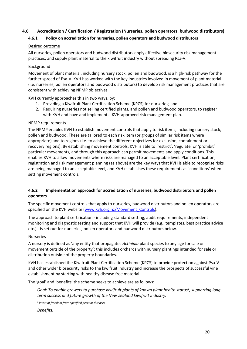#### <span id="page-19-0"></span>**4.6 Accreditation / Certification / Registration (Nurseries, pollen operators, budwood distributors)**

#### **4.6.1 Policy on accreditation for nurseries, pollen operators and budwood distributors**

#### Desired outcome

All nurseries, pollen operators and budwood distributors apply effective biosecurity risk management practices, and supply plant material to the kiwifruit industry without spreading Psa-V.

#### **Background**

Movement of plant material, including nursery stock, pollen and budwood, is a high-risk pathway for the further spread of Psa-V. KVH has worked with the key industries involved in movement of plant material (i.e. nurseries, pollen operators and budwood distributors) to develop risk management practices that are consistent with achieving NPMP objectives.

KVH currently approaches this in two ways, by:

- 1. Providing a Kiwifruit Plant Certification Scheme (KPCS) for nurseries; and
- 2. Requiring nurseries not selling certified plants, and pollen and budwood operators, to register with KVH and have and implement a KVH-approved risk management plan.

#### NPMP requirements

The NPMP enables KVH to establish movement controls that apply to risk items, including nursery stock, pollen and budwood. These are tailored to each risk item (or groups of similar risk items where appropriate) and to regions (i.e. to achieve the different objectives for exclusion, containment or recovery regions). By establishing movement controls, KVH is able to 'restrict', 'regulate' or 'prohibit' particular movements, and through this approach can permit movements and apply conditions. This enables KVH to allow movements where risks are managed to an acceptable level. Plant certification, registration and risk management planning (as above) are the key ways that KVH is able to recognise risks are being managed to an acceptable level, and KVH establishes these requirements as 'conditions' when setting movement controls.

#### **4.6.2 Implementation approach for accreditation of nurseries, budwood distributors and pollen operators**

The specific movement controls that apply to nurseries, budwood distributors and pollen operators are specified on the KVH website (www.kvh.org.nz/Movement Controls).

The approach to plant certification - including standard setting, audit requirements, independent monitoring and diagnostic testing and support that KVH will provide (e.g., templates, best practice advice etc.) - is set out for nurseries, pollen operators and budwood distributors below.

#### Nurseries

A nursery is defined as 'any entity that propagates *Actinidia* plant species to any age for sale or movement outside of the property'; this includes orchards with nursery plantings intended for sale or distribution outside of the property boundaries.

KVH has established the Kiwifruit Plant Certification Scheme (KPCS) to provide protection against Psa-V and other wider biosecurity risks to the kiwifruit industry and increase the prospects of successful vine establishment by starting with healthy disease free material.

The 'goal' and 'benefits' the scheme seeks to achieve are as follows:

*Goal: To enable growers to purchase kiwifruit plants of known plant health status<sup>1</sup> , supporting long term success and future growth of the New Zealand kiwifruit industry.* 

*1 levels of freedom from specified pests or diseases*

*Benefits:*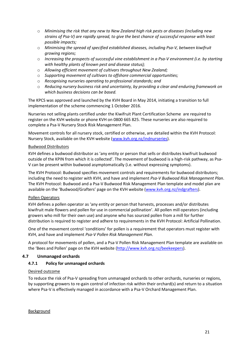- o *Minimising the risk that any new to New Zealand high risk pests or diseases (including new strains of Psa-V) are rapidly spread, to give the best chance of successful response with least possible impacts;*
- o *Minimising the spread of specified established diseases, including Psa-V, between kiwifruit growing regions;*
- o *Increasing the prospects of successful vine establishment in a Psa-V environment (i.e. by starting with healthy plants of known pest and disease status);*
- o *Allowing efficient movement of cultivars throughout New Zealand;*
- o *Supporting movement of cultivars to offshore commercial opportunities;*
- o *Recognising nurseries operating to professional standards; and*
- o *Reducing nursery business risk and uncertainty, by providing a clear and enduring framework on which business decisions can be based.*

The KPCS was approved and launched by the KVH Board in May 2014, initiating a transition to full implementation of the scheme commencing 1 October 2016.

Nurseries not selling plants certified under the Kiwifruit Plant Certification Scheme are required to register on the KVH website or phone KVH on 0800 665 825. These nurseries are also required to complete a Psa-V Nursery Stock Risk Management Plan.

Movement controls for all nursery stock, certified or otherwise, are detailed within the KVH Protocol: Nursery Stock, available on the KVH website [\(www.kvh.org.nz/indnurseries\)](http://www.kvh.org.nz/indnurseries).

#### Budwood Distributors

KVH defines a budwood distributor as 'any entity or person that sells or distributes kiwifruit budwood outside of the KPIN from which it is collected'. The movement of budwood is a high-risk pathway, as Psa-V can be present within budwood asymptomatically (i.e. without expressing symptoms).

The KVH Protocol: Budwood specifies movement controls and requirements for budwood distributors; including the need to register with KVH, and have and implement *Psa-V Budwood Risk Management Plan*. The KVH Protocol: Budwood and a Psa-V Budwood Risk Management Plan template and model plan are available on the 'Budwood/Grafters' page on the KVH website ([www.kvh.org.nz/indgrafters\)](http://www.kvh.org.nz/indgrafters).

#### Pollen Operators

KVH defines a pollen operator as 'any entity or person that harvests, processes and/or distributes kiwifruit male flowers and pollen for use in commercial pollination'. All pollen mill operators (including growers who mill for their own use) and anyone who has sourced pollen from a mill for further distribution is required to register and adhere to requirements in the KVH Protocol: Artificial Pollination.

One of the movement control 'conditions' for pollen is a requirement that operators must register with KVH, and have and implement *Psa-V Pollen Risk Management Plan*.

A protocol for movements of pollen, and a Psa-V Pollen Risk Management Plan template are available on the 'Bees and Pollen' page on the KVH website ([http://www.kvh.org.nz/beekeepers\)](http://www.kvh.org.nz/beekeepers).

#### <span id="page-20-0"></span>**4.7 Unmanaged orchards**

#### **4.7.1 Policy for unmanaged orchards**

#### Desired outcome

To reduce the risk of Psa-V spreading from unmanaged orchards to other orchards, nurseries or regions, by supporting growers to re-gain control of infection risk within their orchard(s) and return to a situation where Psa-V is effectively managed in accordance with a Psa-V Orchard Management Plan.

Background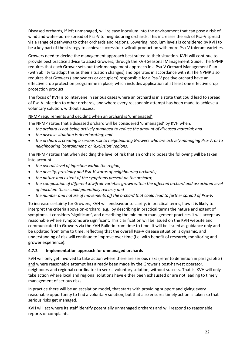Diseased orchards, if left unmanaged, will release inoculum into the environment that can pose a risk of wind and water-borne spread of Psa-V to neighbouring orchards. This increases the risk of Psa-V spread via a range of pathways to other orchards and regions. Lowering inoculum levels is considered by KVH to be a key part of the strategy to achieve successful kiwifruit production with more Psa-V tolerant varieties.

Growers need to decide the management approach best suited to their situation. KVH will continue to provide best practice advice to assist Growers, through the KVH Seasonal Management Guide. The NPMP requires that each Grower sets out their management approach in a Psa-V Orchard Management Plan (with ability to adapt this as their situation changes) and operates in accordance with it. The NPMP also requires that Growers (landowners or occupiers) responsible for a Psa-V positive orchard have an effective crop protection programme in place, which includes application of at least one effective crop protection product.

The focus of KVH is to intervene in serious cases where an orchard is in a state that could lead to spread of Psa-V infection to other orchards, and where every reasonable attempt has been made to achieve a voluntary solution, without success.

#### NPMP requirements and deciding when an orchard is 'unmanaged'

The NPMP states that a diseased orchard will be considered 'unmanaged' by KVH when:

- *the orchard is not being actively managed to reduce the amount of diseased material; and*
- *the disease situation is deteriorating; and*
- *the orchard is creating a serious risk to neighbouring Growers who are actively managing Psa-V, or to neighbouring 'containment' or 'exclusion' regions.*

The NPMP states that when deciding the level of risk that an orchard poses the following will be taken into account:

- *the overall level of infection within the region;*
- *the density, proximity and Psa-V status of neighbouring orchards;*
- *the nature and extent of the symptoms present on the orchard;*
- *the composition of different kiwifruit varieties grown within the affected orchard and associated level of inoculum these could potentially release; and*
- *the number and nature of movements off the orchard that could lead to further spread of Psa-V.*

To increase certainty for Growers, KVH will endeavour to clarify, in practical terms, how it is likely to interpret the criteria above on-orchard, e.g., by describing in practical terms the nature and extent of symptoms it considers 'significant', and describing the minimum management practices it will accept as reasonable where symptoms are significant. This clarification will be issued on the KVH website and communicated to Growers via the KVH Bulletin from time to time. It will be issued as guidance only and be updated from time to time, reflecting that the overall Psa-V disease situation is dynamic, and understanding of risk will continue to improve over time (i.e. with benefit of research, monitoring and grower experience).

#### **4.7.2 Implementation approach for unmanaged orchards**

KVH will only get involved to take action where there are serious risks (refer to definition in paragraph 5) and where reasonable attempt has already been made by the Grower's post-harvest operator, neighbours and regional coordinator to seek a voluntary solution, without success. That is, KVH will only take action where local and regional solutions have either been exhausted or are not leading to timely management of serious risks.

In practice there will be an escalation model, that starts with providing support and giving every reasonable opportunity to find a voluntary solution, but that also ensures timely action is taken so that serious risks get managed.

KVH will act where its staff identify potentially unmanaged orchards and will respond to reasonable reports or complaints.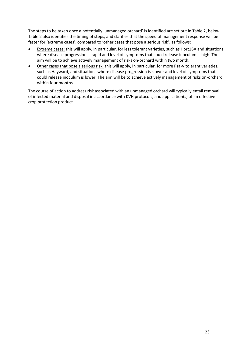The steps to be taken once a potentially 'unmanaged orchard' is identified are set out in Table 2, below. Table 2 also identifies the timing of steps, and clarifies that the speed of management response will be faster for 'extreme cases', compared to 'other cases that pose a serious risk', as follows:

- Extreme cases: this will apply, in particular, for less tolerant varieties, such as Hort16A and situations where disease progression is rapid and level of symptoms that could release inoculum is high. The aim will be to achieve actively management of risks on-orchard within two month.
- Other cases that pose a serious risk: this will apply, in particular, for more Psa-V tolerant varieties, such as Hayward, and situations where disease progression is slower and level of symptoms that could release inoculum is lower. The aim will be to achieve actively management of risks on-orchard within four months.

The course of action to address risk associated with an unmanaged orchard will typically entail removal of infected material and disposal in accordance with KVH protocols, and application(s) of an effective crop protection product.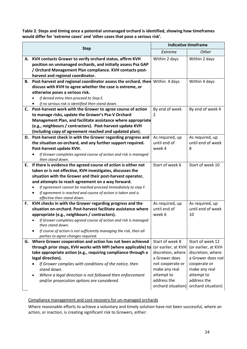**Table 2. Steps and timing once a potential unmanaged orchard is identified, showing how timeframes would differ for 'extreme cases' and 'other cases that pose a serious risk'.**

|    |                                                                                                                            | <b>Indicative timeframe</b>     |                                      |  |  |
|----|----------------------------------------------------------------------------------------------------------------------------|---------------------------------|--------------------------------------|--|--|
|    | <b>Step</b>                                                                                                                | Extreme                         | <b>Other</b>                         |  |  |
| А. | KVH contacts Grower to verify orchard status, affirm KVH                                                                   | Within 2 days                   | Within 2 days                        |  |  |
|    | position on unmanaged orchards, and initially assess Psa GAP                                                               |                                 |                                      |  |  |
|    | / Orchard Management Plan compliance. KVH contacts post-                                                                   |                                 |                                      |  |  |
|    | harvest and regional coordinator.                                                                                          |                                 |                                      |  |  |
| В. | Post-harvest and regional coordinator assess the orchard, then                                                             | Within 4 days                   | Within 4 days                        |  |  |
|    | discuss with KVH to agree whether the case is extreme, or<br>otherwise poses a serious risk.                               |                                 |                                      |  |  |
|    | if denied entry then proceed to Step E.                                                                                    |                                 |                                      |  |  |
|    | if no serious risk is identified then stand down.                                                                          |                                 |                                      |  |  |
|    | C. Post-harvest work with the Grower to agree course of action                                                             | By end of week                  | By end of week 4                     |  |  |
|    | to manage risks, update the Grower's Psa-V Orchard                                                                         | 2                               |                                      |  |  |
|    | Management Plan, and facilitate assistance where appropriate                                                               |                                 |                                      |  |  |
|    | (e.g., neighbours / contractors). Post-harvest update KVH                                                                  |                                 |                                      |  |  |
|    | (including copy of agreement reached and updated plan).                                                                    |                                 |                                      |  |  |
|    | D. Post-harvest check in with the Grower regarding progress and                                                            | As required, up                 | As required, up                      |  |  |
|    | the situation on-orchard, and any further support required.                                                                | until end of                    | until end of week                    |  |  |
|    | Post-harvest update KVH.                                                                                                   | week 4                          | 8                                    |  |  |
|    | If Grower completes agreed course of action and risk is managed                                                            |                                 |                                      |  |  |
|    | then stand down.                                                                                                           |                                 |                                      |  |  |
| Е. | If there is evidence the agreed course of action is either not                                                             | Start of week 6                 | Start of week 10                     |  |  |
|    | taken or is not effective, KVH investigates, discusses the                                                                 |                                 |                                      |  |  |
|    | situation with the Grower and their post-harvest operator,                                                                 |                                 |                                      |  |  |
|    | and attempts to reach agreement on a way forward.                                                                          |                                 |                                      |  |  |
|    | If agreement cannot be reached proceed immediately to step F.                                                              |                                 |                                      |  |  |
|    | If agreement is reached and course of action is taken and is                                                               |                                 |                                      |  |  |
|    | effective then stand down.                                                                                                 |                                 |                                      |  |  |
| F. | KVH checks in with the Grower regarding progress and the<br>situation on-orchard. Post-harvest facilitate assistance where | As required, up<br>until end of | As required, up<br>until end of week |  |  |
|    | appropriate (e.g., neighbours / contractors).                                                                              | week 6                          | 10                                   |  |  |
|    | If Grower completes agreed course of action and risk is managed                                                            |                                 |                                      |  |  |
|    | then stand down.                                                                                                           |                                 |                                      |  |  |
|    | If course of action is not sufficiently managing the risk, then all                                                        |                                 |                                      |  |  |
|    | parties to agree changes required.                                                                                         |                                 |                                      |  |  |
|    | G. Where Grower cooperation and action has not been achieved                                                               | Start of week 8                 | Start of week 12                     |  |  |
|    | through prior steps, KVH works with MPI (where applicable) to                                                              | (or earlier, at KVH             | (or earlier, at KVH                  |  |  |
|    | take appropriate action (e.g., requiring compliance through a                                                              | discretion, where               | discretion, where                    |  |  |
|    | legal direction).                                                                                                          | a Grower does                   | a Grower does not                    |  |  |
|    | If Grower complies with conditions of the notice, then                                                                     | not cooperate or                | cooperate or                         |  |  |
|    | stand down.                                                                                                                | make any real                   | make any real                        |  |  |
|    | Where a legal direction is not followed then enforcement                                                                   | attempt to                      | attempt to                           |  |  |
|    | and/or prosecution options are considered.                                                                                 | address the                     | address the                          |  |  |
|    |                                                                                                                            | orchard situation)              | orchard situation)                   |  |  |

Compliance management and cost-recovery for un-managed orchards

Where reasonable efforts to achieve a voluntary and timely solution have not been successful, where an action, or inaction, is creating significant risk to Growers, either: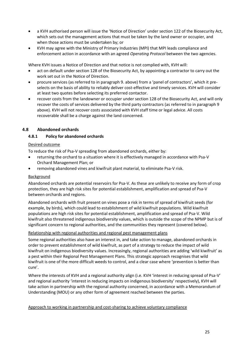- a KVH authorised person will issue the 'Notice of Direction' under section 122 of the Biosecurity Act, which sets out the management actions that must be taken by the land owner or occupier, and when those actions must be undertaken by; or
- KVH may agree with the Ministry of Primary Industries (MPI) that MPI leads compliance and enforcement action in accordance with an agreed *Operating Protocol* between the two agencies.

Where KVH issues a Notice of Direction and that notice is not complied with, KVH will:

- act on default under section 128 of the Biosecurity Act, by appointing a contractor to carry out the work set out in the Notice of Direction.
- procure services (as referred to in paragraph 9. above) from a 'panel of contractors', which it preselects on the basis of ability to reliably deliver cost-effective and timely services. KVH will consider at least two quotes before selecting its preferred contactor.
- recover costs from the landowner or occupier under section 128 of the Biosecurity Act, and will only recover the costs of services delivered by the third party contractors (as referred to in paragraph 9 above). KVH will not recover costs associated with KVH staff time or legal advice. All costs recoverable shall be a charge against the land concerned.

#### <span id="page-24-0"></span>**4.8 Abandoned orchards**

#### **4.8.1 Policy for abandoned orchards**

#### Desired outcome

To reduce the risk of Psa-V spreading from abandoned orchards, either by:

- returning the orchard to a situation where it is effectively managed in accordance with Psa-V Orchard Management Plan; or
- removing abandoned vines and kiwifruit plant material, to eliminate Psa-V risk.

#### Background

Abandoned orchards are potential reservoirs for Psa-V. As these are unlikely to receive any form of crop protection, they are high risk sites for potential establishment, amplification and spread of Psa-V between orchards and regions.

Abandoned orchards with fruit present on vines pose a risk in terms of spread of kiwifruit seeds (for example, by birds), which could lead to establishment of wild kiwifruit populations. Wild kiwifruit populations are high risk sites for potential establishment, amplification and spread of Psa-V. Wild kiwifruit also threatened indigenous biodiversity values, which is outside the scope of the NPMP but is of significant concern to regional authorities, and the communities they represent (covered below).

#### Relationship with regional authorities and regional pest management plans

Some regional authorities also have an interest in, and take action to manage, abandoned orchards in order to prevent establishment of wild kiwifruit, as part of a strategy to reduce the impact of wild kiwifruit on indigenous biodiversity values. Increasingly, regional authorities are adding 'wild kiwifruit' as a pest within their Regional Pest Management Plans. This strategic approach recognises that wild kiwifruit is one of the more difficult weeds to control, and a clear case where 'prevention is better than cure'.

Where the interests of KVH and a regional authority align (i.e. KVH 'interest in reducing spread of Psa-V' and regional authority 'interest in reducing impacts on indigenous biodiversity' respectively), KVH will take action in partnership with the regional authority concerned, in accordance with a Memorandum of Understanding (MOU) or any other form of agreement reached between the parties.

#### Approach to working in partnership and cost-sharing to achieve voluntary compliance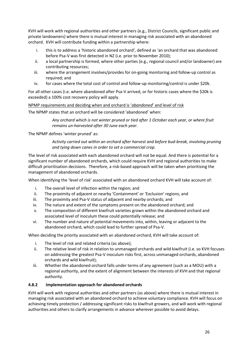KVH will work with regional authorities and other partners (e.g., District Councils, significant public and private landowners) where there is mutual interest in managing risk associated with an abandoned orchard. KVH will contribute funding within a partnership where:

- i. this is to address a 'historic abandoned orchard', defined as 'an orchard that was abandoned before Psa-V was first detected in NZ (i.e. prior to November 2010);
- ii. a local partnership is formed, where other parties (e.g., regional council and/or landowner) are contributing resources;
- iii. where the arrangement involves/provides for on-going monitoring and follow-up control as required; and
- iv. for cases where the total cost of control and follow-up monitoring/control is under \$20k.

For all other cases (i.e. where abandoned after Psa-V arrived, or for historic cases where the \$20k is exceeded) a 100% cost recovery policy will apply.

NPMP requirements and deciding when and orchard is '*abandoned*' and level of risk

The NPMP states that an orchard will be considered 'abandoned' when:

*Any orchard which is not winter pruned or tied after 1 October each year, or where fruit remains un-harvested after 30 June each year.*

The NPMP defines 'winter pruned' as:

*Activity carried out within an orchard after harvest and before bud-break, involving pruning and tying down canes in order to set a commercial crop.*

The level of risk associated with each abandoned orchard will not be equal. And there is potential for a significant number of abandoned orchards, which could require KVH and regional authorities to make difficult prioritisation decisions. Therefore, a risk-based approach will be taken when prioritising the management of abandoned orchards.

When identifying the 'level of risk' associated with an abandoned orchard KVH will take account of:

- i. The overall level of infection within the region; and
- ii. The proximity of adjacent or nearby 'Containment' or 'Exclusion' regions; and
- iii. The proximity and Psa-V status of adjacent and nearby orchards; and
- iv. The nature and extent of the symptoms present on the abandoned orchard; and
- v. The composition of different kiwifruit varieties grown within the abandoned orchard and associated level of inoculum these could potentially release; and
- vi. The number and nature of potential movements into, within, leaving or adjacent to the abandoned orchard, which could lead to further spread of Psa-V.

When deciding the priority associated with an abandoned orchard, KVH will take account of:

- i. The level of risk and related criteria (as above);
- ii. The relative level of risk in relation to unmanaged orchards and wild kiwifruit (i.e. so KVH focuses on addressing the greatest Psa-V inoculum risks first, across unmanaged orchards, abandoned orchards and wild kiwifruit);
- iii. Whether the abandoned orchard falls under terms of any agreement (such as a MOU) with a regional authority, and the extent of alignment between the interests of KVH and that regional authority.

#### **4.8.2 Implementation approach for abandoned orchards**

KVH will work with regional authorities and other partners (as above) where there is mutual interest in managing risk associated with an abandoned orchard to achieve voluntary compliance. KVH will focus on achieving timely protection / addressing significant risks to kiwifruit growers, and will work with regional authorities and others to clarify arrangements in advance wherever possible to avoid delays.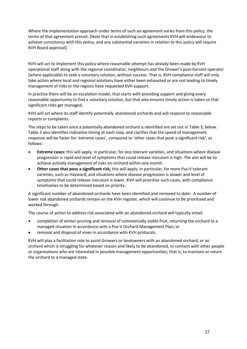Where the implementation approach under terms of such an agreement varies from this policy, the terms of that agreement prevail. [Note that in establishing such agreements KVH will endeavour to achieve consistency with this policy, and any substantial variation in relation to this policy will require KVH Board approval]

KVH will act to implement this policy where reasonable attempt has already been made by KVH operational staff along with the regional coordinator, neighbours and the Grower's post-harvest operator (where applicable) to seek a voluntary solution, without success. That is, KVH compliance staff will only take action where local and regional solutions have either been exhausted or are not leading to timely management of risks or the regions have requested KVH support.

In practice there will be an escalation model, that starts with providing support and giving every reasonable opportunity to find a voluntary solution, but that also ensures timely action is taken so that significant risks get managed.

KVH will act where its staff identify potentially abandoned orchards and will respond to reasonable reports or complaints.

The steps to be taken once a potentially abandoned orchard is identified are set out in Table 3, below. Table 3 also identifies indicative timing at each step, and clarifies that the speed of management response will be faster for 'extreme cases', compared to 'other cases that pose a significant risk', as follows:

- **Extreme cases:** this will apply, in particular, for less tolerant varieties, and situations where disease progression is rapid and level of symptoms that could release inoculum is high. The aim will be to achieve actively management of risks on-orchard within one month.
- **Other cases that pose a significant risk**: this will apply, in particular, for more Psa-V tolerant varieties, such as Hayward, and situations where disease progression is slower and level of symptoms that could release inoculum is lower. KVH will prioritise such cases, with compliance timeframes to be determined based on priority.

A significant number of abandoned orchards have been identified and removed to date: A number of lower risk abandoned orchards remain on the KVH register, which will continue to be prioritised and worked through.

The course of action to address risk associated with an abandoned orchard will typically entail:

- completion of winter pruning and removal of commercially viable fruit, returning the orchard to a managed situation in accordance with a Psa-V Orchard Management Plan; or
- removal and disposal of vines in accordance with KVH protocols.

KVH will play a facilitation role to assist Growers or landowners with an abandoned orchard, or an orchard which is struggling for whatever reason and likely to be abandoned, to connect with other people or organisations who are interested in possible management opportunities; that is, to maintain or return the orchard to a managed state.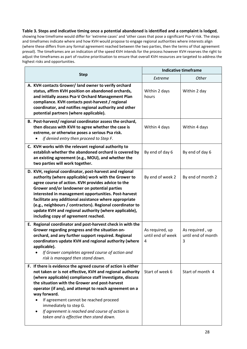#### **Table 3. Steps and indicative timing once a potential abandoned is identified and a complaint is lodged**,

showing how timeframe would differ for 'extreme cases' and 'other cases that pose a significant Psa-V risk. The steps and timeframes indicate where and how KVH would propose to engage regional authorities where interests align (where these differs from any formal agreement reached between the two parties, then the terms of that agreement prevail). The timeframes are an indication of the speed KVH intends for the process however KVH reserves the right to adjust the timeframes as part of routine prioritisation to ensure that overall KVH resources are targeted to address the highest risks and opportunities.

|                                                                                                                                                                                                                                                                                                                                                                                                                                                                                                       | <b>Indicative timeframe</b>               |                                            |  |
|-------------------------------------------------------------------------------------------------------------------------------------------------------------------------------------------------------------------------------------------------------------------------------------------------------------------------------------------------------------------------------------------------------------------------------------------------------------------------------------------------------|-------------------------------------------|--------------------------------------------|--|
| <b>Step</b>                                                                                                                                                                                                                                                                                                                                                                                                                                                                                           | Extreme                                   | Other                                      |  |
| A. KVH contacts Grower/ land owner to verify orchard<br>status, affirm KVH position on abandoned orchards,<br>and initially assess Psa-V Orchard Management Plan<br>compliance. KVH contacts post-harvest / regional<br>coordinator, and notifies regional authority and other<br>potential partners (where applicable).                                                                                                                                                                              | Within 2 days<br>hours                    | Within 2 day                               |  |
| B. Post-harvest/regional coordinator assess the orchard,<br>then discuss with KVH to agree whether the case is<br>extreme, or otherwise poses a serious Psa risk.<br>if denied entry then proceed to Step F.                                                                                                                                                                                                                                                                                          | Within 4 days                             | Within 4 days                              |  |
| C. KVH works with the relevant regional authority to<br>establish whether the abandoned orchard is covered by<br>an existing agreement (e.g., MOU), and whether the<br>two parties will work together.                                                                                                                                                                                                                                                                                                | By end of day 6                           | By end of day 6                            |  |
| D. KVH, regional coordinator, post-harvest and regional<br>authority (where applicable) work with the Grower to<br>agree course of action. KVH provides advice to the<br>Grower and/or landowner on potential parties<br>interested in management opportunities. Post-harvest<br>facilitate any additional assistance where appropriate<br>(e.g., neighbours / contractors). Regional coordinator to<br>update KVH and regional authority (where applicable),<br>including copy of agreement reached. | By end of week 2                          | By end of month 2                          |  |
| E. Regional coordinator and post-harvest check in with the<br>Grower regarding progress and the situation on-<br>orchard, and any further support required. Regional<br>coordinators update KVH and regional authority (where<br>applicable).<br>If Grower completes agreed course of action and<br>risk is managed then stand down.                                                                                                                                                                  | As required, up<br>until end of week<br>4 | As required, up<br>until end of month<br>3 |  |
| F. If there is evidence the agreed course of action is either<br>not taken or is not effective, KVH and regional authority<br>(where applicable) compliance staff investigate, discuss<br>the situation with the Grower and post-harvest<br>operator (if any), and attempt to reach agreement on a<br>way forward.<br>If agreement cannot be reached proceed<br>immediately to step G.<br>If agreement is reached and course of action is<br>taken and is effective then stand down.                  | Start of week 6                           | Start of month 4                           |  |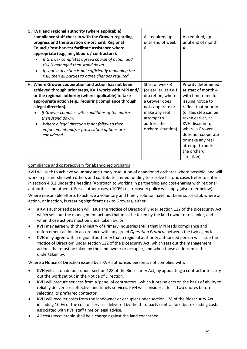| G. KVH and regional authority (where applicable)<br>compliance staff check in with the Grower regarding<br>progress and the situation on-orchard. Regional<br>Council/Post-harvest facilitate assistance where<br>appropriate (e.g., neighbours / contractors).<br>If Grower completes agreed course of action and<br>risk is managed then stand down.<br>If course of action is not sufficiently managing the<br>$\bullet$<br>risk, then all parties to agree changes required. | As required, up<br>until end of week<br>6                                                                                                                            | As required, up<br>until end of month<br>4                                                                                                                                                                                                                                                     |
|----------------------------------------------------------------------------------------------------------------------------------------------------------------------------------------------------------------------------------------------------------------------------------------------------------------------------------------------------------------------------------------------------------------------------------------------------------------------------------|----------------------------------------------------------------------------------------------------------------------------------------------------------------------|------------------------------------------------------------------------------------------------------------------------------------------------------------------------------------------------------------------------------------------------------------------------------------------------|
| H. Where Grower cooperation and action has not been<br>achieved through prior steps, KVH works with MPI and/<br>or the regional authority (where applicable) to take<br>appropriate action (e.g., requiring compliance through<br>a legal direction).<br>If Grower complies with conditions of the notice,<br>then stand down.<br>Where a legal direction is not followed then<br>$\bullet$<br>enforcement and/or prosecution options are<br>considered.                         | Start of week 8<br>(or earlier, at KVH<br>discretion, where<br>a Grower does<br>not cooperate or<br>make any real<br>attempt to<br>address the<br>orchard situation) | Priority determined<br>at start of month 4,<br>with timeframe for<br>issuing notice to<br>reflect that priority<br>(or this step can be<br>taken earlier, at<br>KVH discretion,<br>where a Grower<br>does not cooperate<br>or make any real<br>attempt to address<br>the orchard<br>situation) |

Compliance and cost-recovery for abandoned orchards

KVH will seek to achieve voluntary and timely resolution of abandoned orchards where possible, and will work in partnership with others and contribute limited funding to resolve historic cases (refer to criteria in section 4.8.1 under the heading 'Approach to working in partnership and cost-sharing with regional authorities and others'). For all other cases a 100% cost recovery policy will apply (also refer below).

Where reasonable efforts to achieve a voluntary and timely solution have not been successful, where an action, or inaction, is creating significant risk to Growers, either:

- a KVH authorised person will issue the 'Notice of Direction' under section 122 of the Biosecurity Act, which sets out the management actions that must be taken by the land owner or occupier, and when those actions must be undertaken by; or
- KVH may agree with the Ministry of Primary Industries (MPI) that MPI leads compliance and enforcement action in accordance with an agreed *Operating Protocol* between the two agencies.
- KVH may agree with a regional authority that a regional authority authorised person will issue the 'Notice of Direction' under section 122 of the Biosecurity Act, which sets out the management actions that must be taken by the land owner or occupier, and when those actions must be undertaken by.

Where a Notice of Direction issued by a KVH authorised person is not complied with:

- KVH will act on default under section 128 of the Biosecurity Act, by appointing a contractor to carry out the work set out in the Notice of Direction.
- KVH will procure services from a 'panel of contractors', which it pre-selects on the basis of ability to reliably deliver cost-effective and timely services. KVH will consider at least two quotes before selecting its preferred contactor.
- KVH will recover costs from the landowner or occupier under section 128 of the Biosecurity Act; including 100% of the cost of services delivered by the third party contractors, but excluding costs associated with KVH staff time or legal advice.
- All costs recoverable shall be a charge against the land concerned.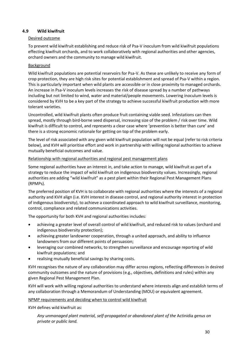#### <span id="page-29-0"></span>**4.9 Wild kiwifruit**

#### Desired outcome

To prevent wild kiwifruit establishing and reduce risk of Psa-V inoculum from wild kiwifruit populations effecting kiwifruit orchards, and to work collaboratively with regional authorities and other agencies, orchard owners and the community to manage wild kiwifruit.

#### **Background**

Wild kiwifruit populations are potential reservoirs for Psa-V. As these are unlikely to receive any form of crop protection, they are high risk sites for potential establishment and spread of Psa-V within a region. This is particularly important when wild plants are accessible or in close proximity to managed orchards. An increase in Psa-V inoculum levels increases the risk of disease spread by a number of pathways including but not limited to wind, water and material/people movements. Lowering inoculum levels is considered by KVH to be a key part of the strategy to achieve successful kiwifruit production with more tolerant varieties.

Uncontrolled, wild kiwifruit plants often produce fruit containing viable seed. Infestations can then spread, mostly through bird-borne seed dispersal, increasing size of the problem / risk over time. Wild kiwifruit is difficult to control, and represents a clear case where 'prevention is better than cure' and there is a strong economic rationale for getting on top of the problem early.

The level of risk associated with any given wild kiwifruit population will not be equal (refer to risk criteria below), and KVH will prioritise effort and work in partnership with willing regional authorities to achieve mutually beneficial outcomes and value.

#### Relationship with regional authorities and regional pest management plans

Some regional authorities have an interest in, and take action to manage, wild kiwifruit as part of a strategy to reduce the impact of wild kiwifruit on indigenous biodiversity values. Increasingly, regional authorities are adding "wild kiwifruit" as a pest plant within their Regional Pest Management Plans (RPMPs).

The preferred position of KVH is to collaborate with regional authorities where the interests of a regional authority and KVH align (i.e. KVH interest in disease control, and regional authority interest in protection of indigenous biodiversity), to achieve a coordinated approach to wild kiwifruit surveillance, monitoring, control, compliance and related communications activities.

The opportunity for both KVH and regional authorities includes:

- achieving a greater level of overall control of wild kiwifruit, and reduced risk to values (orchard and indigenous biodiversity protection);
- achieving greater landowner cooperation, through a united approach, and ability to influence landowners from our different points of persuasion;
- leveraging our combined networks, to strengthen surveillance and encourage reporting of wild kiwifruit populations; and
- realising mutually beneficial savings by sharing costs.

KVH recognises the nature of any collaboration may differ across regions, reflecting differences in desired community outcomes and the nature of provisions (e.g., objectives, definitions and rules) within any given Regional Pest Management Plan.

KVH will work with willing regional authorities to understand where interests align and establish terms of any collaboration through a Memorandum of Understanding (MOU) or equivalent agreement.

#### NPMP requirements and deciding when to control wild kiwifruit

KVH defines wild kiwifruit as:

*Any unmanaged plant material, self-propagated or abandoned plant of the* Actinidia *genus on private or public land.*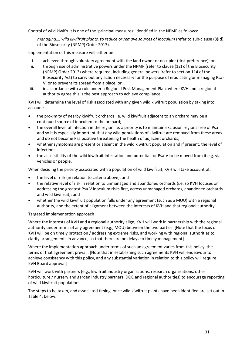Control of wild kiwifruit is one of the 'principal measures' identified in the NPMP as follows:

*managing.... wild kiwifruit plants, to reduce or remove sources of inoculum (refer to sub-clause (8)(d)* of the Biosecurity (NPMP) Order 2013).

Implementation of this measure will either be:

- i. achieved through voluntary agreement with the land owner or occupier (first preference); or
- ii. through use of administrative powers under the NPMP (refer to clause (12) of the Biosecurity (NPMP) Order 2013) where required, including general powers (refer to section 114 of the Biosecurity Act) to carry out any action necessary for the purpose of eradicating or managing Psa-V, or to prevent its spread from a place; or
- iii. in accordance with a rule under a Regional Pest Management Plan, where KVH and a regional authority agree this is the best approach to achieve compliance.

KVH will determine the level of risk associated with any given wild kiwifruit population by taking into account:

- the proximity of nearby kiwifruit orchards i.e. wild kiwifruit adjacent to an orchard may be a continued source of inoculum to the orchard;
- the overall level of infection in the region i.e. a priority is to maintain exclusion regions free of Psa and so it is especially important that any wild populations of kiwifruit are removed from these areas and do not become Psa positive threatening the health of adjacent orchards;
- whether symptoms are present or absent in the wild kiwifruit population and if present, the level of infection;
- the accessibility of the wild kiwifruit infestation and potential for Psa-V to be moved from it e.g. via vehicles or people.

When deciding the priority associated with a population of wild kiwifruit, KVH will take account of:

- the level of risk (in relation to criteria above); and
- the relative level of risk in relation to unmanaged and abandoned orchards (i.e. so KVH focuses on addressing the greatest Psa-V inoculum risks first, across unmanaged orchards, abandoned orchards and wild kiwifruit); and
- whether the wild kiwifruit population falls under any agreement (such as a MOU) with a regional authority, and the extent of alignment between the interests of KVH and that regional authority.

#### Targeted implementation approach

Where the interests of KVH and a regional authority align, KVH will work in partnership with the regional authority under terms of any agreement (e.g., MOU) between the two parties. [Note that the focus of KVH will be on timely protection / addressing extreme risks, and working with regional authorities to clarify arrangements in advance, so that there are no delays to timely management]

Where the implementation approach under terms of such an agreement varies from this policy, the terms of that agreement prevail. [Note that in establishing such agreements KVH will endeavour to achieve consistency with this policy, and any substantial variation in relation to this policy will require KVH Board approval]

KVH will work with partners (e.g., kiwifruit industry organisations, research organisations, other horticulture / nursery and garden industry partners, DOC and regional authorities) to encourage reporting of wild kiwifruit populations.

The steps to be taken, and associated timing, once wild kiwifruit plants have been identified are set out in Table 4, below.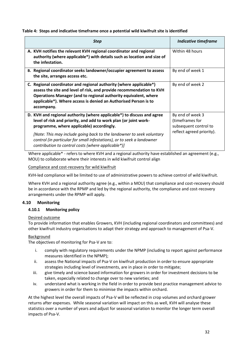#### **Table 4: Steps and indicative timeframe once a potential wild kiwifruit site is identified**

| <b>Step</b>                                                                                                                                                                                                                                                                                    | <b>Indicative timeframe</b>                                  |
|------------------------------------------------------------------------------------------------------------------------------------------------------------------------------------------------------------------------------------------------------------------------------------------------|--------------------------------------------------------------|
| A. KVH notifies the relevant KVH regional coordinator and regional<br>authority (where applicable*) with details such as location and size of<br>the infestation.                                                                                                                              | Within 48 hours                                              |
| B. Regional coordinator seeks landowner/occupier agreement to assess<br>the site, arranges access etc.                                                                                                                                                                                         | By end of week 1                                             |
| C. Regional coordinator and regional authority (where applicable*)<br>assess the site and level of risk, and provide recommendation to KVH<br>Operations Manager (and to regional authority equivalent, where<br>applicable*). Where access is denied an Authorised Person is to<br>accompany. | By end of week 2                                             |
| D. KVH and regional authority (where applicable*) to discuss and agree<br>level of risk and priority, and add to work plan (or joint work-<br>programme, where applicable) accordingly.                                                                                                        | By end of week 3<br>(timeframes for<br>subsequent control to |
| [Note: This may include going back to the landowner to seek voluntary<br>control (in particular for small infestations), or to seek a landowner<br>contribution to control costs (where applicable*)]                                                                                          | reflect agreed priority).                                    |

Where applicable<sup>\*</sup> - refers to where KVH and a regional authority have established an agreement (e.g., MOU) to collaborate where their interests in wild kiwifruit control align

Compliance and cost-recovery for wild kiwifruit

KVH-led compliance will be limited to use of administrative powers to achieve control of wild kiwifruit.

Where KVH and a regional authority agree (e.g., within a MOU) that compliance and cost-recovery should be in accordance with the RPMP and led by the regional authority, the compliance and cost-recovery arrangements under the RPMP will apply.

#### <span id="page-31-0"></span>**4.10 Monitoring**

#### **4.10.1 Monitoring policy**

#### Desired outcome

To provide information that enables Growers, KVH (including regional coordinators and committees) and other kiwifruit industry organisations to adapt their strategy and approach to management of Psa-V.

#### Background

The objectives of monitoring for Psa-V are to:

- i. comply with regulatory requirements under the NPMP (including to report against performance measures identified in the NPMP);
- ii. assess the National impacts of Psa-V on kiwifruit production in order to ensure appropriate strategies including level of investments, are in place in order to mitigate;
- iii. give timely and science based information for growers in order for investment decisions to be taken, especially related to change over to new varieties; and
- iv. understand what is working in the field in order to provide best practice management advice to growers in order for them to minimise the impacts within orchard.

At the highest level the overall impacts of Psa-V will be reflected in crop volumes and orchard grower returns after expenses. While seasonal variation will impact on this as well, KVH will analyse these statistics over a number of years and adjust for seasonal variation to monitor the longer term overall impacts of Psa-V.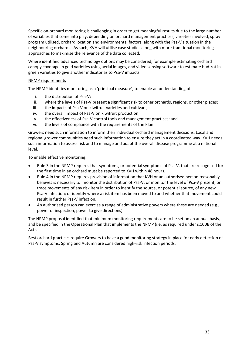Specific on-orchard monitoring is challenging in order to get meaningful results due to the large number of variables that come into play, depending on orchard management practices, varieties involved, spray program utilised, orchard location and environmental factors, along with the Psa-V situation in the neighbouring orchards. As such, KVH will utilise case studies along with more traditional monitoring approaches to maximise the relevance of the data collected.

Where identified advanced technology options may be considered, for example estimating orchard canopy coverage in gold varieties using aerial images, and video sensing software to estimate bud-rot in green varieties to give another indicator as to Psa-V impacts.

#### NPMP requirements

The NPMP identifies monitoring as a 'principal measure', to enable an understanding of:

- i. the distribution of Psa-V;
- ii. where the levels of Psa-V present a significant risk to other orchards, regions, or other places;
- iii. the impacts of Psa-V on kiwifruit varieties and cultivars;
- iv. the overall impact of Psa-V on kiwifruit production;
- v. the effectiveness of Psa-V control tools and management practices; and
- vi. the levels of compliance with the requirements of the Plan.

Growers need such information to inform their individual orchard management decisions. Local and regional grower communities need such information to ensure they act in a coordinated way. KVH needs such information to assess risk and to manage and adapt the overall disease programme at a national level.

To enable effective monitoring:

- Rule 3 in the NPMP requires that symptoms, or potential symptoms of Psa-V, that are recognised for the first time in an orchard must be reported to KVH within 48 hours.
- Rule 4 in the NPMP requires provision of information that KVH or an authorised person reasonably believes is necessary to: monitor the distribution of Psa-V; or monitor the level of Psa-V present; or trace movements of any risk item in order to identify the source, or potential source, of any new Psa-V infection; or identify where a risk item has been moved to and whether that movement could result in further Psa-V infection.
- An authorised person can exercise a range of administrative powers where these are needed (e.g., power of inspection, power to give directions).

The NPMP proposal identified that minimum monitoring requirements are to be set on an annual basis, and be specified in the Operational Plan that implements the NPMP (i.e. as required under s.100B of the Act).

Best orchard practices require Growers to have a good monitoring strategy in place for early detection of Psa-V symptoms. Spring and Autumn are considered high-risk infection periods.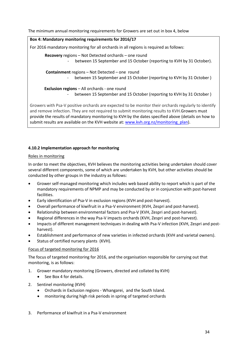The minimum annual monitoring requirements for Growers are set out in box 4, below

## **Box 4: Mandatory monitoring requirements for 2016/17** For 2016 mandatory monitoring for all orchards in all regions is required as follows: **Recovery** regions – Not Detected orchards – one round - between 15 September and 15 October (reporting to KVH by 31 October). **Containment** regions – Not Detected – one round

between 15 September and 15 October (reporting to KVH by 31 October)

 **Exclusion regions** – All orchards - one round

between 15 September and 15 October (reporting to KVH by 31 October)

Growers with Psa-V positive orchards are expected to be monitor their orchards regularly to identify and remove infection. They are not required to submit monitoring results to KVH.Growers must provide the results of mandatory monitoring to KVH by the dates specified above (details on how to submit results are available on the KVH website at[: www.kvh.org.nz/monitoring\\_plan\)](http://www.kvh.org.nz/monitoring_plan).

## **4.10.2 Implementation approach for monitoring**

## Roles in monitoring

In order to meet the objectives, KVH believes the monitoring activities being undertaken should cover several different components, some of which are undertaken by KVH, but other activities should be conducted by other groups in the industry as follows:

- Grower self-managed monitoring which includes web based ability to report which is part of the mandatory requirements of NPMP and may be conducted by or in conjunction with post-harvest facilities.
- Early identification of Psa-V in exclusion regions (KVH and post-harvest).
- Overall performance of kiwifruit in a Psa-V environment (KVH, Zespri and post-harvest).
- Relationship between environmental factors and Psa-V (KVH, Zespri and post-harvest).
- Regional differences in the way Psa-V impacts orchards (KVH, Zespri and post-harvest).
- Impacts of different management techniques in dealing with Psa-V infection (KVH, Zespri and postharvest).
- Establishment and performance of new varieties in infected orchards (KVH and varietal owners).
- Status of certified nursery plants (KVH).

## Focus of targeted monitoring for 2016

The focus of targeted monitoring for 2016, and the organisation responsible for carrying out that monitoring, is as follows:

- 1. Grower mandatory monitoring (Growers, directed and collated by KVH)
	- See Box 4 for details.
- 2. Sentinel monitoring (KVH)
	- Orchards in Exclusion regions Whangarei, and the South Island.
	- monitoring during high risk periods in spring of targeted orchards
- 3. Performance of kiwifruit in a Psa-V environment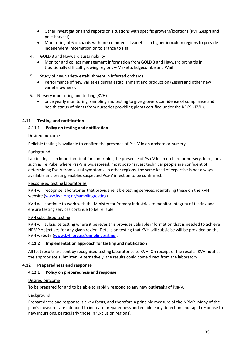- Other investigations and reports on situations with specific growers/locations (KVH,Zespri and post-harvest).
- Monitoring of 6 orchards with pre-commercial varieties in higher inoculum regions to provide independent information on tolerance to Psa.
- 4. GOLD 3 and Hayward sustainability
	- Monitor and collect management information from GOLD 3 and Hayward orchards in traditionally difficult growing regions – Maketu, Edgecumbe and Waihi.
- 5. Study of new variety establishment in infected orchards.
	- Performance of new varieties during establishment and production (Zespri and other new varietal owners).
- 6. Nursery monitoring and testing (KVH)
	- once yearly monitoring, sampling and testing to give growers confidence of compliance and health status of plants from nurseries providing plants certified under the KPCS. (KVH).

#### <span id="page-34-0"></span>**4.11 Testing and notification**

#### **4.11.1 Policy on testing and notification**

#### Desired outcome

Reliable testing is available to confirm the presence of Psa-V in an orchard or nursery.

#### Background

Lab testing is an important tool for confirming the presence of Psa-V in an orchard or nursery. In regions such as Te Puke, where Psa-V is widespread, most post-harvest technical people are confident of determining Psa-V from visual symptoms. In other regions, the same level of expertise is not always available and testing enables suspected Psa-V infection to be confirmed.

#### Recognised testing laboratories

KVH will recognise laboratories that provide reliable testing services, identifying these on the KVH website [\(www.kvh.org.nz/samplingtesting\)](http://www.kvh.org.nz/samplingtesting).

KVH will continue to work with the Ministry for Primary Industries to monitor integrity of testing and ensure testing services continue to be reliable.

#### KVH subsidised testing

KVH will subsidise testing where it believes this provides valuable information that is needed to achieve NPMP objectives for any given region. Details on testing that KVH will subsidise will be provided on the KVH website [\(www.kvh.org.nz/samplingtesting\)](http://www.kvh.org.nz/samplingtesting).

#### **4.11.2 Implementation approach for testing and notification**

All test results are sent by recognised testing laboratories to KVH. On receipt of the results, KVH notifies the appropriate submitter. Alternatively, the results could come direct from the laboratory.

#### <span id="page-34-1"></span>**4.12 Preparedness and response**

#### **4.12.1 Policy on preparedness and response**

#### Desired outcome

To be prepared for and to be able to rapidly respond to any new outbreaks of Psa-V.

#### Background

Preparedness and response is a key focus, and therefore a principle measure of the NPMP. Many of the plan's measures are intended to increase preparedness and enable early detection and rapid response to new incursions, particularly those in 'Exclusion regions'.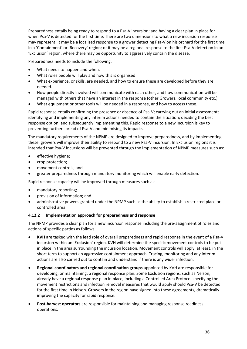Preparedness entails being ready to respond to a Psa-V incursion; and having a clear plan in place for when Psa-V is detected for the first time. There are two dimensions to what a new incursion response may represent. It may be a localised response to a grower detecting Psa-V on his orchard for the first time in a 'Containment' or 'Recovery' region; or it may be a regional response to the first Psa-V detection in an 'Exclusion' region, where there may be opportunity to aggressively contain the disease.

Preparedness needs to include the following.

- What needs to happen and when.
- What roles people will play and how this is organised.
- What experience, or skills, are needed, and how to ensure these are developed before they are needed.
- How people directly involved will communicate with each other, and how communication will be managed with others that have an interest in the response (other Growers, local community etc.).
- What equipment or other tools will be needed in a response, and how to access these.

Rapid response entails confirming the presence or absence of Psa-V; carrying out an initial assessment; identifying and implementing any interim actions needed to contain the situation; deciding the best response option; and subsequently implementing this. Rapid response to a new incursion is key to preventing further spread of Psa-V and minimising its impacts.

The mandatory requirements of the NPMP are designed to improve preparedness, and by implementing these, growers will improve their ability to respond to a new Psa-V incursion. In Exclusion regions it is intended that Psa-V incursions will be prevented through the implementation of NPMP measures such as:

- effective hygiene;
- crop protection;
- movement controls; and
- greater preparedness through mandatory monitoring which will enable early detection.

Rapid response capacity will be improved through measures such as:

- mandatory reporting;
- provision of information; and
- administrative powers granted under the NPMP such as the ability to establish a restricted place or controlled area.

#### **4.12.2 Implementation approach for preparedness and response**

The NPMP provides a clear plan for a new incursion response including the pre-assignment of roles and actions of specific parties as follows:

- **KVH** are tasked with the lead role of overall preparedness and rapid response in the event of a Psa-V incursion within an 'Exclusion' region. KVH will determine the specific movement controls to be put in place in the area surrounding the incursion location. Movement controls will apply, at least, in the short term to support an aggressive containment approach. Tracing, monitoring and any interim actions are also carried out to contain and understand if there is any wider infection.
- **Regional coordinators and regional coordination groups** appointed by KVH are responsible for developing, or maintaining, a regional response plan. Some Exclusion regions, such as Nelson, already have a regional response plan in place, including a Controlled Area Protocol specifying the movement restrictions and infection removal measures that would apply should Psa-V be detected for the first time in Nelson. Growers in the region have signed into these agreements, dramatically improving the capacity for rapid response.
- **Post-harvest operators** are responsible for maintaining and managing response readiness operations.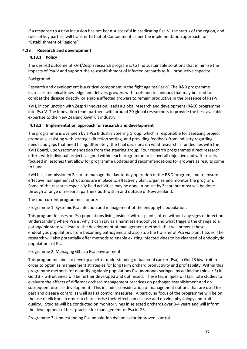If a response to a new incursion has not been successful in eradicating Psa-V, the status of the region, and roles of key parties, will transfer to that of Containment as per the implementation approach for "Establishment of Regions".

#### <span id="page-36-0"></span>**4.13 Research and development**

#### **4.13.1 Policy**

The desired outcome of KVH/Zespri research program is to find sustainable solutions that minimise the impacts of Psa-V and support the re-establishment of infected orchards to full productive capacity.

#### Background

Research and development is a critical component in the fight against Psa-V. The R&D programme increases technical knowledge and delivers growers with tools and techniques that may be used to combat the disease directly, or enable affected growers to remain productive in the presence of Psa-V.

KVH, in conjunction with Zespri Innovation, leads a global research and development (R&D) programme into Psa-V. The Innovation team partners with around 20 global researchers to provide the best available expertise to the New Zealand kiwifruit industry.

#### **4.13.2 Implementation approach for research and development**

The programme is overseen by a Psa Industry Steering Group, which is responsible for assessing project proposals, assisting with strategic direction setting, and providing feedback from industry regarding needs and gaps that need filling. Ultimately, the final decisions on what research is funded lies with the KVH Board, upon recommendation from the steering group. Four research programmes direct research effort, with individual projects aligned within each programme to its overall objective and with results focused milestones that allow for programme updates and recommendations for growers as results come to hand.

KVH has commissioned Zespri to manage the day-to-day operation of the R&D program, and to ensure effective management structures are in place to effectively plan, organise and monitor the program. Some of the research especially field activities may be done in-house by Zespri but most will be done through a range of research partners both within and outside of New Zealand.

The four current programmes for are:

#### Programme 1: Systemic Psa infection and management of the endophytic population.

This program focuses on Psa populations living inside kiwifruit plants, often without any signs of infection. Understanding where Psa is, why it can stay as a harmless endophyte and what triggers the change to a pathogenic state will lead to the development of management methods that will prevent these endophytic populations from becoming pathogenic and also stop the transfer of Psa via plant tissues. The research will also potentially offer methods to enable existing infected vines to be cleansed of endophytic populations of Psa.

#### Programme 2: Managing G3 in a Psa environment.

This programme aims to develop a better understanding of bacterial canker (Psa) in Gold 3 kiwifruit in order to optimise management strategies for long term orchard productivity and profitability. Within this programme methods for quantifying viable populations Pseudomonas syringae pv actinidiae (biovar 3) in Gold 3 kiwifruit vines will be further developed and optimised. These techniques will facilitate studies to evaluate the effects of different orchard management practices on pathogen establishment and on subsequent disease development. This includes consideration of management options that are used for pest and disease control as well as Psa control measures. A particular focus of the programme will be on the use of elicitors in order to characterise their effects on disease and on vine physiology and fruit quality. Studies will be conducted on monitor vines in selected orchards over 3-4 years and will inform the development of best practise for management of Psa in G3.

Programme 3: Understanding Psa population dynamics for improved control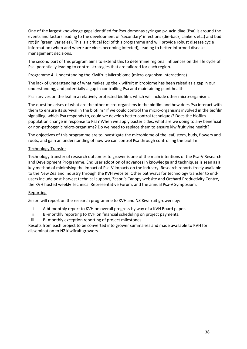One of the largest knowledge gaps identified for Pseudomonas syringae pv. acinidiae (Psa) is around the events and factors leading to the development of 'secondary' infections (die-back, cankers etc.) and bud rot (in 'green' varieties). This is a critical foci of this programme and will provide robust disease cycle information (when and where are vines becoming infected), leading to better informed disease management decisions.

The second part of this program aims to extend this to determine regional influences on the life cycle of Psa, potentially leading to control strategies that are tailored for each region.

Programme 4: Understanding the Kiwifruit Microbiome (micro-organism interactions)

The lack of understanding of what makes up the kiwifruit microbiome has been raised as a gap in our understanding, and potentially a gap in controlling Psa and maintaining plant health.

Psa survives on the leaf in a relatively protected biofilm, which will include other micro-organisms.

The question arises of what are the other micro-organisms in the biofilm and how does Psa interact with them to ensure its survival in the biofilm? If we could control the micro-organisms involved in the biofilm signalling, which Psa responds to, could we develop better control techniques? Does the biofilm population change in response to Psa? When we apply bactericides, what are we doing to any beneficial or non-pathogenic micro-organisms? Do we need to replace them to ensure kiwifruit vine health?

The objectives of this programme are to investigate the microbiome of the leaf, stem, buds, flowers and roots, and gain an understanding of how we can control Psa through controlling the biofilm.

#### Technology Transfer

Technology transfer of research outcomes to grower is one of the main intentions of the Psa-V Research and Development Programme. End user adoption of advances in knowledge and techniques is seen as a key method of minimising the impact of Psa-V impacts on the industry. Research reports freely available to the New Zealand industry through the KVH website. Other pathways for technology transfer to endusers include post-harvest technical support, Zespri's Canopy website and Orchard Productivity Centre, the KVH hosted weekly Technical Representative Forum, and the annual Psa-V Symposium.

#### Reporting

Zespri will report on the research programme to KVH and NZ Kiwifruit growers by:

- i. A bi-monthly report to KVH on overall progress by way of a KVH Board paper.
- ii. Bi-monthly reporting to KVH on financial scheduling on project payments.
- iii. Bi-monthly exception reporting of project milestones.

Results from each project to be converted into grower summaries and made available to KVH for dissemination to NZ kiwifruit growers.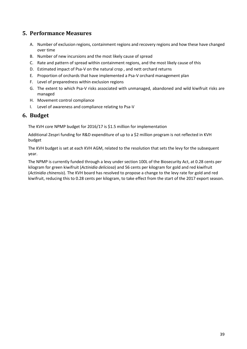## <span id="page-38-0"></span>**5. Performance Measures**

- A. Number of exclusion regions, containment regions and recovery regions and how these have changed over time
- B. Number of new incursions and the most likely cause of spread
- C. Rate and pattern of spread within containment regions, and the most likely cause of this
- D. Estimated impact of Psa-V on the natural crop , and nett orchard returns
- E. Proportion of orchards that have implemented a Psa-V orchard management plan
- F. Level of preparedness within exclusion regions
- G. The extent to which Psa-V risks associated with unmanaged, abandoned and wild kiwifruit risks are managed
- H. Movement control compliance
- I. Level of awareness and compliance relating to Psa-V

## <span id="page-38-1"></span>**6. Budget**

The KVH core NPMP budget for 2016/17 is \$1.5 million for implementation

Additional Zespri funding for R&D expenditure of up to a \$2 million program is not reflected in KVH budget

The KVH budget is set at each KVH AGM, related to the resolution that sets the levy for the subsequent year.

The NPMP is currently funded through a levy under section 100L of the Biosecurity Act, at 0.28 cents per kilogram for green kiwifruit (*Actinidia deliciosa*) and 56 cents per kilogram for gold and red kiwifruit (*Actinidia chinensis*). The KVH board has resolved to propose a change to the levy rate for gold and red kiwifruit, reducing this to 0.28 cents per kilogram, to take effect from the start of the 2017 export season.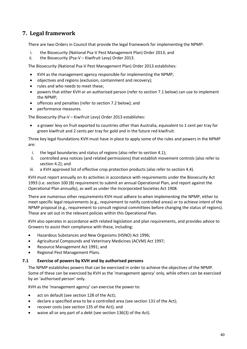## <span id="page-39-0"></span>**7. Legal framework**

There are two Orders in Council that provide the legal framework for implementing the NPMP:

- i. the Biosecurity (National Psa-V Pest Management Plan) Order 2013; and
- ii. the Biosecurity (Psa-V Kiwifruit Levy) Order 2013.

The Biosecurity (National Psa-V Pest Management Plan) Order 2013 establishes:

- KVH as the management agency responsible for implementing the NPMP;
- objectives and regions (exclusion, containment and recovery);
- rules and who needs to meet these:
- powers that either KVH or an authorised person (refer to section 7.1 below) can use to implement the NPMP;
- offences and penalties (refer to section 7.2 below); and
- performance measures.

The Biosecurity (Psa-V – Kiwifruit Levy) Order 2013 establishes:

 a grower levy on fruit exported to countries other than Australia, equivalent to 1 cent per tray for green kiwifruit and 2 cents per tray for gold and in the future red kiwifruit.

Three key legal foundations KVH must have in place to apply some of the rules and powers in the NPMP are:

- i. the legal boundaries and status of regions (also refer to section 4.1);
- ii. controlled area notices (and related permissions) that establish movement controls (also refer to section 4.2); and
- iii. a KVH approved list of effective crop protection products (also refer to section 4.4).

KVH must report annually on its activities in accordance with requirements under the Biosecurity Act 1993 (i.e. section 100 (B) requirement to submit an annual Operational Plan, and report against the Operational Plan annually), as well as under the Incorporated Societies Act 1908.

There are numerous other requirements KVH must adhere to when implementing the NPMP, either to meet specific legal requirements (e.g., requirement to notify controlled areas) or to achieve intent of the NPMP proposal (e.g., requirement to consult regional committees before changing the status of regions). These are set out in the relevant policies within this Operational Plan.

KVH also operates in accordance with related legislation and plan requirements, and provides advice to Growers to assist their compliance with these, including:

- Hazardous Substances and New Organisms (HSNO) Act 1996;
- Agricultural Compounds and Veterinary Medicines (ACVM) Act 1997;
- Resource Management Act 1991; and
- Regional Pest Management Plans.

#### <span id="page-39-1"></span>**7.1 Exercise of powers by KVH and by authorised persons**

The NPMP establishes powers that can be exercised in order to achieve the objectives of the NPMP. Some of these can be exercised by KVH as the 'management agency' only, while others can be exercised by an 'authorised person' only.

KVH as the 'management agency' can exercise the power to:

- act on default (see section 128 of the Act);
- declare a specified area to be a controlled area (see section 131 of the Act);
- recover costs (see section 135 of the Act); and
- waive all or any part of a debt (see section 136(3) of the Act).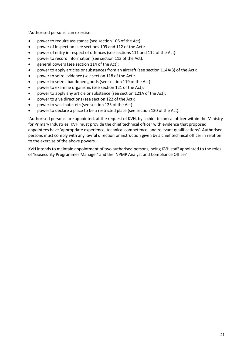'Authorised persons' can exercise:

- power to require assistance (see section 106 of the Act):
- power of inspection (see sections 109 and 112 of the Act):
- power of entry in respect of offences (see sections 111 and 112 of the Act):
- power to record information (see section 113 of the Act):
- general powers (see section 114 of the Act):
- power to apply articles or substances from an aircraft (see section 114A(3) of the Act):
- power to seize evidence (see section 118 of the Act):
- power to seize abandoned goods (see section 119 of the Act):
- power to examine organisms (see section 121 of the Act):
- power to apply any article or substance (see section 121A of the Act):
- power to give directions (see section 122 of the Act):
- power to vaccinate, etc (see section 123 of the Act):
- power to declare a place to be a restricted place (see section 130 of the Act).

'Authorised persons' are appointed, at the request of KVH, by a chief technical officer within the Ministry for Primary Industries. KVH must provide the chief technical officer with evidence that proposed appointees have 'appropriate experience, technical competence, and relevant qualifications'. Authorised persons must comply with any lawful direction or instruction given by a chief technical officer in relation to the exercise of the above powers.

KVH intends to maintain appointment of two authorised persons, being KVH staff appointed to the roles of 'Biosecurity Programmes Manager' and the 'NPMP Analyst and Compliance Officer'.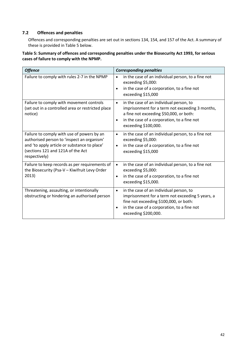#### <span id="page-41-0"></span>**7.2 Offences and penalties**

Offences and corresponding penalties are set out in sections 134, 154, and 157 of the Act. A summary of these is provided in Table 5 below.

**Table 5: Summary of offences and corresponding penalties under the Biosecurity Act 1993, for serious cases of failure to comply with the NPMP.**

| <b>Offence</b>                                                                                                                                                                                 | <b>Corresponding penalties</b>                                                                                                                                                                                                         |  |  |  |
|------------------------------------------------------------------------------------------------------------------------------------------------------------------------------------------------|----------------------------------------------------------------------------------------------------------------------------------------------------------------------------------------------------------------------------------------|--|--|--|
| Failure to comply with rules 2-7 in the NPMP                                                                                                                                                   | in the case of an individual person, to a fine not<br>$\bullet$<br>exceeding \$5,000:<br>in the case of a corporation, to a fine not<br>exceeding \$15,000                                                                             |  |  |  |
| Failure to comply with movement controls<br>(set out in a controlled area or restricted place<br>notice)                                                                                       | in the case of an individual person, to<br>$\bullet$<br>imprisonment for a term not exceeding 3 months,<br>a fine not exceeding \$50,000, or both:<br>in the case of a corporation, to a fine not<br>$\bullet$<br>exceeding \$100,000. |  |  |  |
| Failure to comply with use of powers by an<br>authorised person to 'inspect an organism'<br>and 'to apply article or substance to place'<br>(sections 121 and 121A of the Act<br>respectively) | in the case of an individual person, to a fine not<br>$\bullet$<br>exceeding \$5,000:<br>in the case of a corporation, to a fine not<br>exceeding \$15,000                                                                             |  |  |  |
| Failure to keep records as per requirements of<br>the Biosecurity (Psa-V - Kiwifruit Levy Order<br>2013)                                                                                       | in the case of an individual person, to a fine not<br>$\bullet$<br>exceeding \$5,000:<br>in the case of a corporation, to a fine not<br>$\bullet$<br>exceeding \$15,000.                                                               |  |  |  |
| Threatening, assaulting, or intentionally<br>obstructing or hindering an authorised person                                                                                                     | in the case of an individual person, to<br>$\bullet$<br>imprisonment for a term not exceeding 5 years, a<br>fine not exceeding \$100,000, or both:<br>in the case of a corporation, to a fine not<br>$\bullet$<br>exceeding \$200,000. |  |  |  |